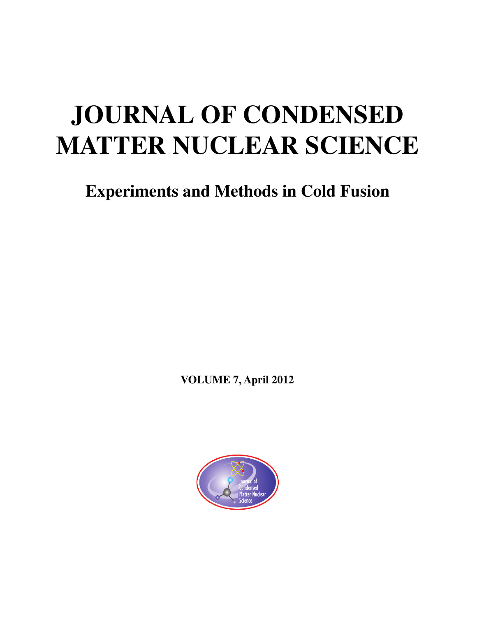# **JOURNAL OF CONDENSED MATTER NUCLEAR SCIENCE**

**Experiments and Methods in Cold Fusion**

**VOLUME 7, April 2012**

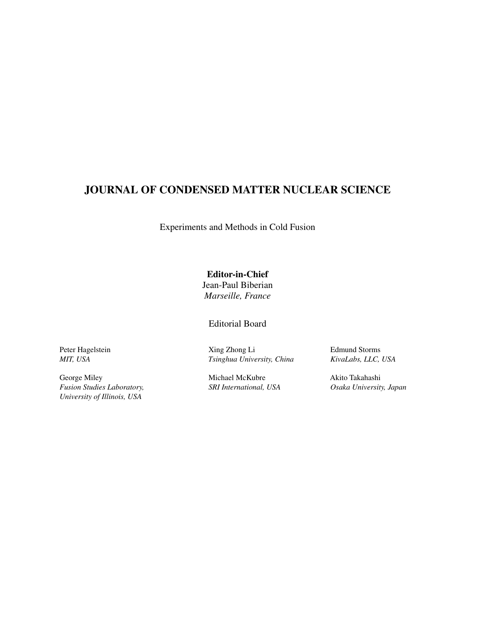### **JOURNAL OF CONDENSED MATTER NUCLEAR SCIENCE**

Experiments and Methods in Cold Fusion

**Editor-in-Chief** Jean-Paul Biberian *Marseille, France*

Editorial Board

Peter Hagelstein *MIT, USA*

George Miley *Fusion Studies Laboratory, University of Illinois, USA*

Xing Zhong Li *Tsinghua University, China*

Michael McKubre *SRI International, USA* Edmund Storms *KivaLabs, LLC, USA*

Akito Takahashi *Osaka University, Japan*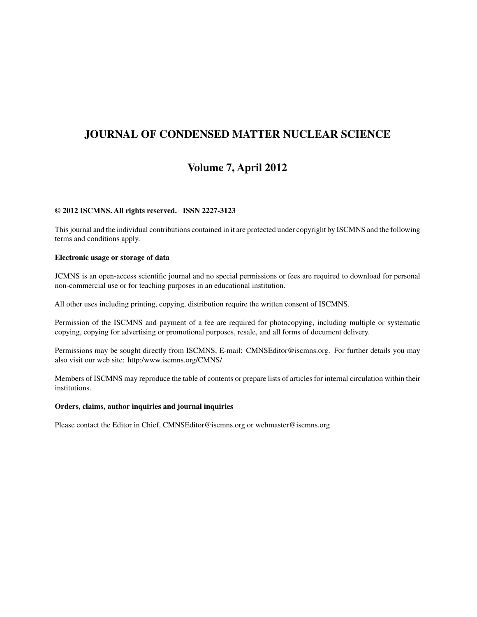### **JOURNAL OF CONDENSED MATTER NUCLEAR SCIENCE**

### **Volume 7, April 2012**

#### **© 2012 ISCMNS. All rights reserved. ISSN 2227-3123**

This journal and the individual contributions contained in it are protected under copyright by ISCMNS and the following terms and conditions apply.

#### **Electronic usage or storage of data**

JCMNS is an open-access scientific journal and no special permissions or fees are required to download for personal non-commercial use or for teaching purposes in an educational institution.

All other uses including printing, copying, distribution require the written consent of ISCMNS.

Permission of the ISCMNS and payment of a fee are required for photocopying, including multiple or systematic copying, copying for advertising or promotional purposes, resale, and all forms of document delivery.

Permissions may be sought directly from ISCMNS, E-mail: CMNSEditor@iscmns.org. For further details you may also visit our web site: http:/www.iscmns.org/CMNS/

Members of ISCMNS may reproduce the table of contents or prepare lists of articles for internal circulation within their institutions.

#### **Orders, claims, author inquiries and journal inquiries**

Please contact the Editor in Chief, CMNSEditor@iscmns.org or webmaster@iscmns.org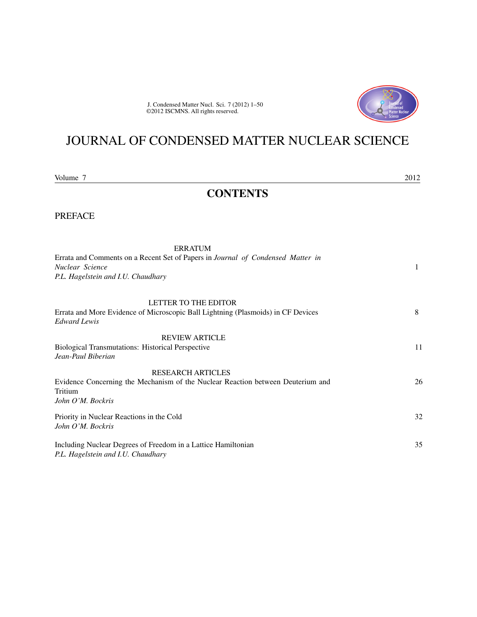J. Condensed Matter Nucl. Sci. 7 (2012) 1–50 ©2012 ISCMNS. All rights reserved.



# JOURNAL OF CONDENSED MATTER NUCLEAR SCIENCE

Volume 7 2012

### **CONTENTS**

PREFACE

| <b>ERRATUM</b>                                                                                                  |    |
|-----------------------------------------------------------------------------------------------------------------|----|
| Errata and Comments on a Recent Set of Papers in Journal of Condensed Matter in<br>Nuclear Science              | 1  |
| P.L. Hagelstein and I.U. Chaudhary                                                                              |    |
| <b>LETTER TO THE EDITOR</b>                                                                                     |    |
| Errata and More Evidence of Microscopic Ball Lightning (Plasmoids) in CF Devices<br><b>Edward Lewis</b>         | 8  |
| <b>REVIEW ARTICLE</b>                                                                                           |    |
| <b>Biological Transmutations: Historical Perspective</b><br>Jean-Paul Biberian                                  | 11 |
| <b>RESEARCH ARTICLES</b>                                                                                        |    |
| Evidence Concerning the Mechanism of the Nuclear Reaction between Deuterium and<br>Tritium<br>John O'M. Bockris | 26 |
| Priority in Nuclear Reactions in the Cold                                                                       | 32 |
| John O'M. Bockris                                                                                               |    |
| Including Nuclear Degrees of Freedom in a Lattice Hamiltonian<br>P.L. Hagelstein and I.U. Chaudhary             | 35 |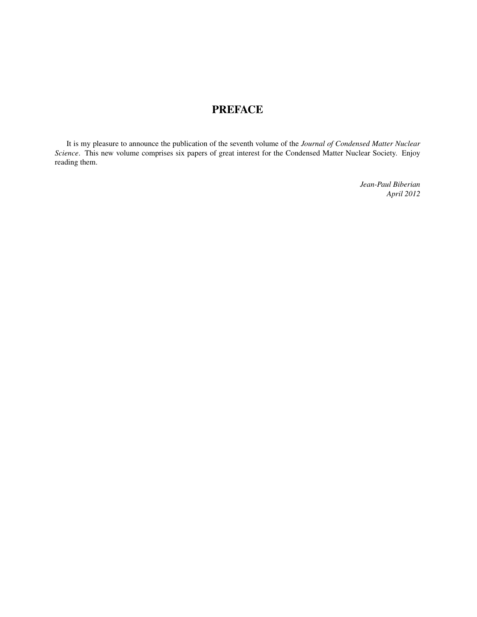### **PREFACE**

It is my pleasure to announce the publication of the seventh volume of the *Journal of Condensed Matter Nuclear Science*. This new volume comprises six papers of great interest for the Condensed Matter Nuclear Society. Enjoy reading them.

> *Jean-Paul Biberian April 2012*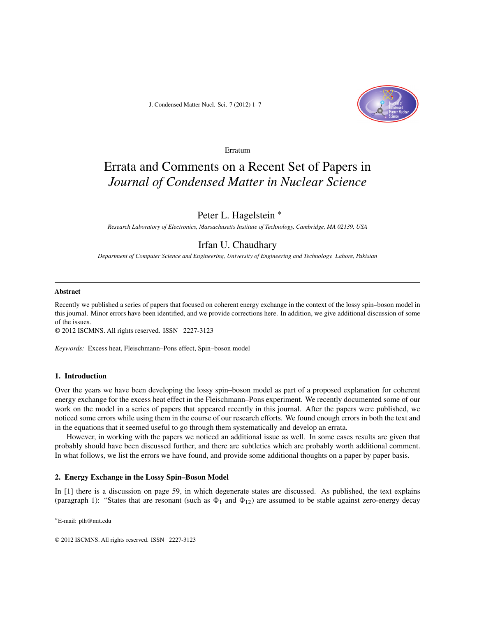J. Condensed Matter Nucl. Sci. 7 (2012) 1–7



Erratum

## Errata and Comments on a Recent Set of Papers in *Journal of Condensed Matter in Nuclear Science*

#### Peter L. Hagelstein ∗

*Research Laboratory of Electronics, Massachusetts Institute of Technology, Cambridge, MA 02139, USA*

### Irfan U. Chaudhary

*Department of Computer Science and Engineering, University of Engineering and Technology. Lahore, Pakistan*

#### **Abstract**

Recently we published a series of papers that focused on coherent energy exchange in the context of the lossy spin–boson model in this journal. Minor errors have been identified, and we provide corrections here. In addition, we give additional discussion of some of the issues.

© 2012 ISCMNS. All rights reserved. ISSN 2227-3123

*Keywords:* Excess heat, Fleischmann–Pons effect, Spin–boson model

#### **1. Introduction**

Over the years we have been developing the lossy spin–boson model as part of a proposed explanation for coherent energy exchange for the excess heat effect in the Fleischmann–Pons experiment. We recently documented some of our work on the model in a series of papers that appeared recently in this journal. After the papers were published, we noticed some errors while using them in the course of our research efforts. We found enough errors in both the text and in the equations that it seemed useful to go through them systematically and develop an errata.

However, in working with the papers we noticed an additional issue as well. In some cases results are given that probably should have been discussed further, and there are subtleties which are probably worth additional comment. In what follows, we list the errors we have found, and provide some additional thoughts on a paper by paper basis.

#### **2. Energy Exchange in the Lossy Spin–Boson Model**

In [1] there is a discussion on page 59, in which degenerate states are discussed. As published, the text explains (paragraph 1): "States that are resonant (such as  $\Phi_1$  and  $\Phi_{12}$ ) are assumed to be stable against zero-energy decay

<sup>∗</sup>E-mail: plh@mit.edu

<sup>© 2012</sup> ISCMNS. All rights reserved. ISSN 2227-3123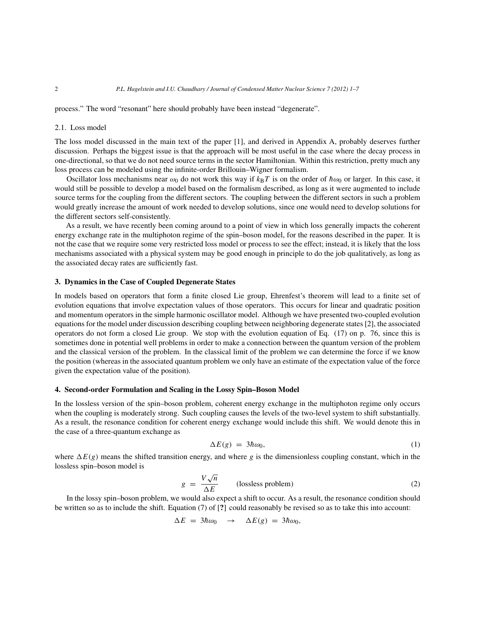process." The word "resonant" here should probably have been instead "degenerate".

#### 2.1. Loss model

The loss model discussed in the main text of the paper [1], and derived in Appendix A, probably deserves further discussion. Perhaps the biggest issue is that the approach will be most useful in the case where the decay process in one-directional, so that we do not need source terms in the sector Hamiltonian. Within this restriction, pretty much any loss process can be modeled using the infinite-order Brillouin–Wigner formalism.

Oscillator loss mechanisms near  $\omega_0$  do not work this way if  $k_BT$  is on the order of  $\hbar\omega_0$  or larger. In this case, it would still be possible to develop a model based on the formalism described, as long as it were augmented to include source terms for the coupling from the different sectors. The coupling between the different sectors in such a problem would greatly increase the amount of work needed to develop solutions, since one would need to develop solutions for the different sectors self-consistently.

As a result, we have recently been coming around to a point of view in which loss generally impacts the coherent energy exchange rate in the multiphoton regime of the spin–boson model, for the reasons described in the paper. It is not the case that we require some very restricted loss model or process to see the effect; instead, it is likely that the loss mechanisms associated with a physical system may be good enough in principle to do the job qualitatively, as long as the associated decay rates are sufficiently fast.

#### **3. Dynamics in the Case of Coupled Degenerate States**

In models based on operators that form a finite closed Lie group, Ehrenfest's theorem will lead to a finite set of evolution equations that involve expectation values of those operators. This occurs for linear and quadratic position and momentum operators in the simple harmonic oscillator model. Although we have presented two-coupled evolution equations for the model under discussion describing coupling between neighboring degenerate states [2], the associated operators do not form a closed Lie group. We stop with the evolution equation of Eq. (17) on p. 76, since this is sometimes done in potential well problems in order to make a connection between the quantum version of the problem and the classical version of the problem. In the classical limit of the problem we can determine the force if we know the position (whereas in the associated quantum problem we only have an estimate of the expectation value of the force given the expectation value of the position).

#### **4. Second-order Formulation and Scaling in the Lossy Spin–Boson Model**

In the lossless version of the spin–boson problem, coherent energy exchange in the multiphoton regime only occurs when the coupling is moderately strong. Such coupling causes the levels of the two-level system to shift substantially. As a result, the resonance condition for coherent energy exchange would include this shift. We would denote this in the case of a three-quantum exchange as

$$
\Delta E(g) = 3\hbar \omega_0, \tag{1}
$$

where  $\Delta E(g)$  means the shifted transition energy, and where g is the dimensionless coupling constant, which in the lossless spin–boson model is

$$
g = \frac{V\sqrt{n}}{\Delta E} \qquad \text{(lossless problem)} \tag{2}
$$

In the lossy spin–boson problem, we would also expect a shift to occur. As a result, the resonance condition should be written so as to include the shift. Equation (7) of [**?**] could reasonably be revised so as to take this into account:

$$
\Delta E = 3\hbar\omega_0 \rightarrow \Delta E(g) = 3\hbar\omega_0,
$$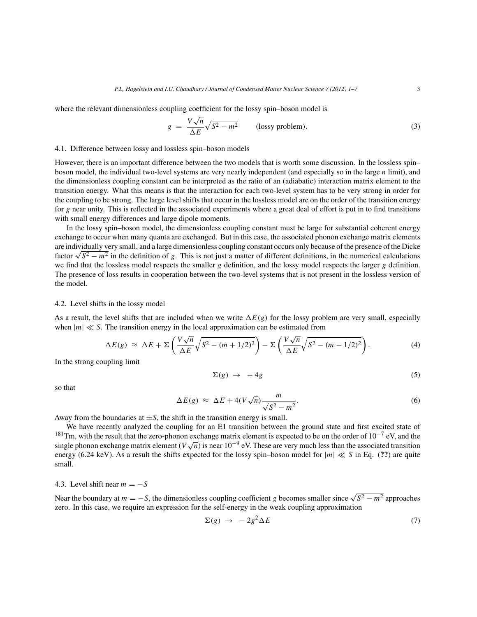where the relevant dimensionless coupling coefficient for the lossy spin–boson model is

$$
g = \frac{V\sqrt{n}}{\Delta E}\sqrt{S^2 - m^2}
$$
 (lossy problem). (3)

#### 4.1. Difference between lossy and lossless spin–boson models

However, there is an important difference between the two models that is worth some discussion. In the lossless spin– boson model, the individual two-level systems are very nearly independent (and especially so in the large  $n$  limit), and the dimensionless coupling constant can be interpreted as the ratio of an (adiabatic) interaction matrix element to the transition energy. What this means is that the interaction for each two-level system has to be very strong in order for the coupling to be strong. The large level shifts that occur in the lossless model are on the order of the transition energy for g near unity. This is reflected in the associated experiments where a great deal of effort is put in to find transitions with small energy differences and large dipole moments.

In the lossy spin–boson model, the dimensionless coupling constant must be large for substantial coherent energy exchange to occur when many quanta are exchanged. But in this case, the associated phonon exchange matrix elements are individually very small, and a large dimensionless coupling constant occurs only because of the presence of the Dicke factor  $\sqrt{S^2 - m^2}$  in the definition of g. This is not just a matter of different definitions, in the numerical calculations we find that the lossless model respects the smaller g definition, and the lossy model respects the larger g definition. The presence of loss results in cooperation between the two-level systems that is not present in the lossless version of the model.

#### 4.2. Level shifts in the lossy model

As a result, the level shifts that are included when we write  $\Delta E(g)$  for the lossy problem are very small, especially when  $|m| \ll S$ . The transition energy in the local approximation can be estimated from

$$
\Delta E(g) \approx \Delta E + \Sigma \left( \frac{V \sqrt{n}}{\Delta E} \sqrt{S^2 - (m + 1/2)^2} \right) - \Sigma \left( \frac{V \sqrt{n}}{\Delta E} \sqrt{S^2 - (m - 1/2)^2} \right). \tag{4}
$$

In the strong coupling limit

$$
\Sigma(g) \to -4g \tag{5}
$$

so that

$$
\Delta E(g) \approx \Delta E + 4(V\sqrt{n}) \frac{m}{\sqrt{S^2 - m^2}}.
$$
\n(6)

Away from the boundaries at  $\pm S$ , the shift in the transition energy is small.

We have recently analyzed the coupling for an E1 transition between the ground state and first excited state of <sup>181</sup>Tm, with the result that the zero-phonon exchange matrix element is expected to be on the order of 10<sup>-7</sup> eV, and the single phonon exchange matrix element ( $V\sqrt{n}$ ) is near 10<sup>-9</sup> eV. These are very much less than the associated transition energy (6.24 keV). As a result the shifts expected for the lossy spin–boson model for  $|m| \ll S$  in Eq. (??) are quite small.

#### 4.3. Level shift near  $m = -S$

Near the boundary at  $m = -S$ , the dimensionless coupling coefficient g becomes smaller since  $\sqrt{S^2 - m^2}$  approaches zero. In this case, we require an expression for the self-energy in the weak coupling approximation

$$
\Sigma(g) \to -2g^2 \Delta E \tag{7}
$$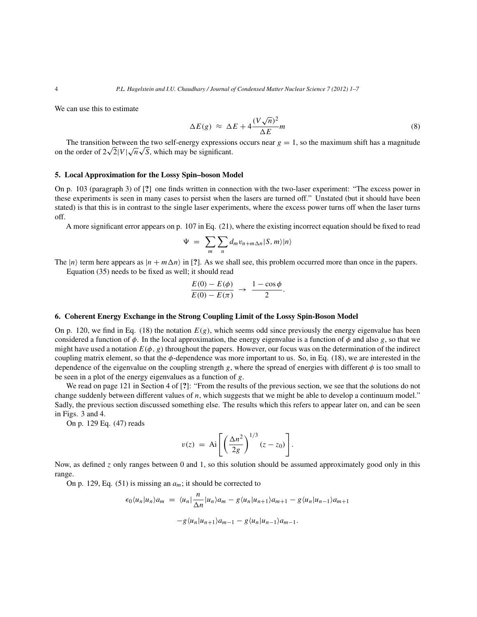We can use this to estimate

$$
\Delta E(g) \approx \Delta E + 4 \frac{(V\sqrt{n})^2}{\Delta E} m \tag{8}
$$

The transition between the two self-energy expressions occurs near  $g = 1$ , so the maximum shift has a magnitude on the order of  $2\sqrt{2}|V|\sqrt{n}\sqrt{S}$ , which may be significant.

#### **5. Local Approximation for the Lossy Spin–boson Model**

On p. 103 (paragraph 3) of [**?**] one finds written in connection with the two-laser experiment: "The excess power in these experiments is seen in many cases to persist when the lasers are turned off." Unstated (but it should have been stated) is that this is in contrast to the single laser experiments, where the excess power turns off when the laser turns off.

A more significant error appears on p. 107 in Eq. (21), where the existing incorrect equation should be fixed to read

$$
\Psi = \sum_{m} \sum_{n} d_m v_{n+m \Delta n} |S, m\rangle |n\rangle
$$

The  $|n\rangle$  term here appears as  $|n + m\Delta n\rangle$  in [?]. As we shall see, this problem occurred more than once in the papers. Equation (35) needs to be fixed as well; it should read

$$
\frac{E(0) - E(\phi)}{E(0) - E(\pi)} \rightarrow \frac{1 - \cos \phi}{2}.
$$

#### **6. Coherent Energy Exchange in the Strong Coupling Limit of the Lossy Spin-Boson Model**

On p. 120, we find in Eq. (18) the notation  $E(g)$ , which seems odd since previously the energy eigenvalue has been considered a function of  $\phi$ . In the local approximation, the energy eigenvalue is a function of  $\phi$  and also g, so that we might have used a notation  $E(\phi, g)$  throughout the papers. However, our focus was on the determination of the indirect coupling matrix element, so that the  $\phi$ -dependence was more important to us. So, in Eq. (18), we are interested in the dependence of the eigenvalue on the coupling strength g, where the spread of energies with different  $\phi$  is too small to be seen in a plot of the energy eigenvalues as a function of g.

We read on page 121 in Section 4 of [**?**]: "From the results of the previous section, we see that the solutions do not change suddenly between different values of n, which suggests that we might be able to develop a continuum model." Sadly, the previous section discussed something else. The results which this refers to appear later on, and can be seen in Figs. 3 and 4.

On p. 129 Eq. (47) reads

$$
v(z) = \text{Ai}\left[\left(\frac{\Delta n^2}{2g}\right)^{1/3} (z - z_0)\right].
$$

Now, as defined z only ranges between 0 and 1, so this solution should be assumed approximately good only in this range.

On p. 129, Eq. (51) is missing an  $a_m$ ; it should be corrected to

$$
\epsilon_0 \langle u_n | u_n \rangle a_m = \langle u_n | \frac{n}{\Delta n} | u_n \rangle a_m - g \langle u_n | u_{n+1} \rangle a_{m+1} - g \langle u_n | u_{n-1} \rangle a_{m+1}
$$

$$
-g \langle u_n | u_{n+1} \rangle a_{m-1} - g \langle u_n | u_{n-1} \rangle a_{m-1}.
$$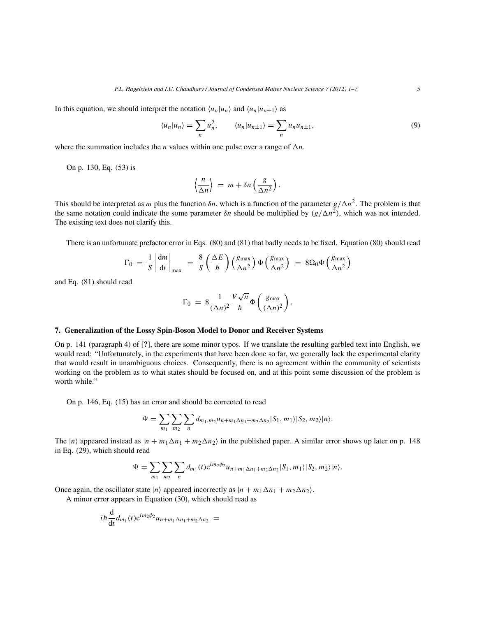In this equation, we should interpret the notation  $\langle u_n|u_n \rangle$  and  $\langle u_n|u_{n+1} \rangle$  as

$$
\langle u_n | u_n \rangle = \sum_n u_n^2, \qquad \langle u_n | u_{n+1} \rangle = \sum_n u_n u_{n+1}, \tag{9}
$$

where the summation includes the *n* values within one pulse over a range of  $\Delta n$ .

On p. 130, Eq. (53) is

$$
\left\langle \frac{n}{\Delta n} \right\rangle = m + \delta n \left( \frac{g}{\Delta n^2} \right).
$$

This should be interpreted as m plus the function  $\delta n$ , which is a function of the parameter  $g/\Delta n^2$ . The problem is that the same notation could indicate the some parameter  $\delta n$  should be multiplied by  $(g/\Delta n^2)$ , which was not intended. The existing text does not clarify this.

There is an unfortunate prefactor error in Eqs. (80) and (81) that badly needs to be fixed. Equation (80) should read

$$
\Gamma_0 = \frac{1}{S} \left| \frac{dm}{dt} \right|_{\text{max}} = \frac{8}{S} \left( \frac{\Delta E}{\hbar} \right) \left( \frac{g_{\text{max}}}{\Delta n^2} \right) \Phi \left( \frac{g_{\text{max}}}{\Delta n^2} \right) = 8 \Omega_0 \Phi \left( \frac{g_{\text{max}}}{\Delta n^2} \right)
$$

and Eq. (81) should read

$$
\Gamma_0 = 8 \frac{1}{(\Delta n)^2} \frac{V \sqrt{n}}{\hbar} \Phi \left( \frac{g_{\text{max}}}{(\Delta n)^2} \right).
$$

#### **7. Generalization of the Lossy Spin-Boson Model to Donor and Receiver Systems**

On p. 141 (paragraph 4) of [**?**], there are some minor typos. If we translate the resulting garbled text into English, we would read: "Unfortunately, in the experiments that have been done so far, we generally lack the experimental clarity that would result in unambiguous choices. Consequently, there is no agreement within the community of scientists working on the problem as to what states should be focused on, and at this point some discussion of the problem is worth while."

On p. 146, Eq. (15) has an error and should be corrected to read

$$
\Psi = \sum_{m_1} \sum_{m_2} \sum_n d_{m_1,m_2} u_{n+m_1 \Delta n_1 + m_2 \Delta n_2} |S_1, m_1\rangle |S_2, m_2\rangle |n\rangle.
$$

The  $|n\rangle$  appeared instead as  $|n + m_1\Delta n_1 + m_2\Delta n_2\rangle$  in the published paper. A similar error shows up later on p. 148 in Eq. (29), which should read

$$
\Psi = \sum_{m_1} \sum_{m_2} \sum_n d_{m_1}(t) e^{i m_2 \phi_2} u_{n+m_1 \Delta n_1 + m_2 \Delta n_2} |S_1, m_1\rangle |S_2, m_2\rangle |n\rangle.
$$

Once again, the oscillator state  $|n\rangle$  appeared incorrectly as  $|n + m_1\Delta n_1 + m_2\Delta n_2\rangle$ .

A minor error appears in Equation (30), which should read as

$$
i\hbar \frac{\mathrm{d}}{\mathrm{d}t} d_{m_1}(t) e^{im_2\phi_2} u_{n+m_1\Delta n_1+m_2\Delta n_2} =
$$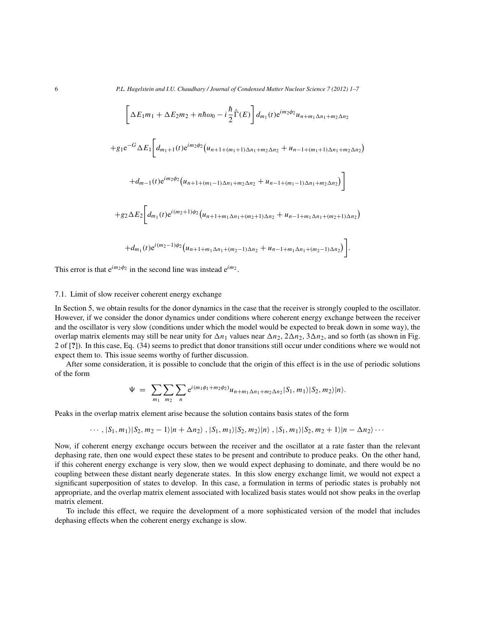6 *P.L. Hagelstein and I.U. Chaudhary / Journal of Condensed Matter Nuclear Science 7 (2012) 1–7*

$$
\left[\Delta E_{1}m_{1} + \Delta E_{2}m_{2} + n\hbar\omega_{0} - i\frac{\hbar}{2}\hat{\Gamma}(E)\right]d_{m_{1}}(t)e^{im_{2}\phi_{2}}u_{n+m_{1}\Delta n_{1}+m_{2}\Delta n_{2}}
$$
  
+ $g_{1}e^{-G}\Delta E_{1}\left[d_{m_{1}+1}(t)e^{im_{2}\phi_{2}}(u_{n+1+(m_{1}+1)\Delta n_{1}+m_{2}\Delta n_{2}} + u_{n-1+(m_{1}+1)\Delta n_{1}+m_{2}\Delta n_{2}})\right]$   
+ $d_{m-1}(t)e^{im_{2}\phi_{2}}(u_{n+1+(m_{1}-1)\Delta n_{1}+m_{2}\Delta n_{2}} + u_{n-1+(m_{1}-1)\Delta n_{1}+m_{2}\Delta n_{2}})\right]$   
+ $g_{2}\Delta E_{2}\left[d_{m_{1}}(t)e^{i(m_{2}+1)\phi_{2}}(u_{n+1+m_{1}\Delta n_{1}+(m_{2}+1)\Delta n_{2}} + u_{n-1+m_{1}\Delta n_{1}+(m_{2}+1)\Delta n_{2}})\right]$   
+ $d_{m_{1}}(t)e^{i(m_{2}-1)\phi_{2}}(u_{n+1+m_{1}\Delta n_{1}+(m_{2}-1)\Delta n_{2}} + u_{n-1+m_{1}\Delta n_{1}+(m_{2}-1)\Delta n_{2}})\right].$ 

This error is that  $e^{im_2\phi_2}$  in the second line was instead  $e^{im_2}$ .

#### 7.1. Limit of slow receiver coherent energy exchange

In Section 5, we obtain results for the donor dynamics in the case that the receiver is strongly coupled to the oscillator. However, if we consider the donor dynamics under conditions where coherent energy exchange between the receiver and the oscillator is very slow (conditions under which the model would be expected to break down in some way), the overlap matrix elements may still be near unity for  $\Delta n_1$  values near  $\Delta n_2$ ,  $2\Delta n_2$ ,  $3\Delta n_2$ , and so forth (as shown in Fig. 2 of [**?**]). In this case, Eq. (34) seems to predict that donor transitions still occur under conditions where we would not expect them to. This issue seems worthy of further discussion.

After some consideration, it is possible to conclude that the origin of this effect is in the use of periodic solutions of the form

$$
\Psi = \sum_{m_1} \sum_{m_2} \sum_n e^{i(m_1\phi_1 + m_2\phi_2)} u_{n+m_1\Delta n_1 + m_2\Delta n_2} |S_1, m_1\rangle |S_2, m_2\rangle |n\rangle.
$$

Peaks in the overlap matrix element arise because the solution contains basis states of the form

$$
\cdots, |S_1, m_1\rangle |S_2, m_2 - 1\rangle |n + \Delta n_2\rangle, |S_1, m_1\rangle |S_2, m_2\rangle |n\rangle, |S_1, m_1\rangle |S_2, m_2 + 1\rangle |n - \Delta n_2\rangle \cdots
$$

Now, if coherent energy exchange occurs between the receiver and the oscillator at a rate faster than the relevant dephasing rate, then one would expect these states to be present and contribute to produce peaks. On the other hand, if this coherent energy exchange is very slow, then we would expect dephasing to dominate, and there would be no coupling between these distant nearly degenerate states. In this slow energy exchange limit, we would not expect a significant superposition of states to develop. In this case, a formulation in terms of periodic states is probably not appropriate, and the overlap matrix element associated with localized basis states would not show peaks in the overlap matrix element.

To include this effect, we require the development of a more sophisticated version of the model that includes dephasing effects when the coherent energy exchange is slow.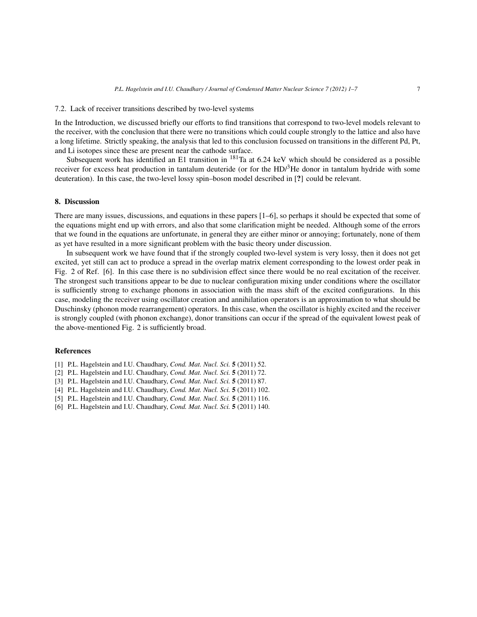#### 7.2. Lack of receiver transitions described by two-level systems

In the Introduction, we discussed briefly our efforts to find transitions that correspond to two-level models relevant to the receiver, with the conclusion that there were no transitions which could couple strongly to the lattice and also have a long lifetime. Strictly speaking, the analysis that led to this conclusion focussed on transitions in the different Pd, Pt, and Li isotopes since these are present near the cathode surface.

Subsequent work has identified an E1 transition in  $^{181}$ Ta at 6.24 keV which should be considered as a possible receiver for excess heat production in tantalum deuteride (or for the  $HD<sup>3</sup>He$  donor in tantalum hydride with some deuteration). In this case, the two-level lossy spin–boson model described in [**?**] could be relevant.

#### **8. Discussion**

There are many issues, discussions, and equations in these papers [1–6], so perhaps it should be expected that some of the equations might end up with errors, and also that some clarification might be needed. Although some of the errors that we found in the equations are unfortunate, in general they are either minor or annoying; fortunately, none of them as yet have resulted in a more significant problem with the basic theory under discussion.

In subsequent work we have found that if the strongly coupled two-level system is very lossy, then it does not get excited, yet still can act to produce a spread in the overlap matrix element corresponding to the lowest order peak in Fig. 2 of Ref. [6]. In this case there is no subdivision effect since there would be no real excitation of the receiver. The strongest such transitions appear to be due to nuclear configuration mixing under conditions where the oscillator is sufficiently strong to exchange phonons in association with the mass shift of the excited configurations. In this case, modeling the receiver using oscillator creation and annihilation operators is an approximation to what should be Duschinsky (phonon mode rearrangement) operators. In this case, when the oscillator is highly excited and the receiver is strongly coupled (with phonon exchange), donor transitions can occur if the spread of the equivalent lowest peak of the above-mentioned Fig. 2 is sufficiently broad.

#### **References**

- [1] P.L. Hagelstein and I.U. Chaudhary, *Cond. Mat. Nucl. Sci.* **5** (2011) 52.
- [2] P.L. Hagelstein and I.U. Chaudhary, *Cond. Mat. Nucl. Sci.* **5** (2011) 72.
- [3] P.L. Hagelstein and I.U. Chaudhary, *Cond. Mat. Nucl. Sci.* **5** (2011) 87.
- [4] P.L. Hagelstein and I.U. Chaudhary, *Cond. Mat. Nucl. Sci.* **5** (2011) 102.
- [5] P.L. Hagelstein and I.U. Chaudhary, *Cond. Mat. Nucl. Sci.* **5** (2011) 116.
- [6] P.L. Hagelstein and I.U. Chaudhary, *Cond. Mat. Nucl. Sci.* **5** (2011) 140.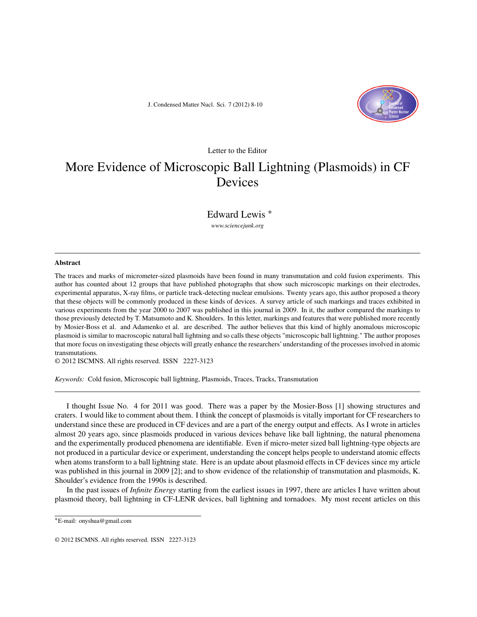J. Condensed Matter Nucl. Sci. 7 (2012) 8-10



#### Letter to the Editor

## More Evidence of Microscopic Ball Lightning (Plasmoids) in CF Devices

Edward Lewis ∗

*www.sciencejunk.org*

#### **Abstract**

The traces and marks of micrometer-sized plasmoids have been found in many transmutation and cold fusion experiments. This author has counted about 12 groups that have published photographs that show such microscopic markings on their electrodes, experimental apparatus, X-ray films, or particle track-detecting nuclear emulsions. Twenty years ago, this author proposed a theory that these objects will be commonly produced in these kinds of devices. A survey article of such markings and traces exhibited in various experiments from the year 2000 to 2007 was published in this journal in 2009. In it, the author compared the markings to those previously detected by T. Matsumoto and K. Shoulders. In this letter, markings and features that were published more recently by Mosier-Boss et al. and Adamenko et al. are described. The author believes that this kind of highly anomalous microscopic plasmoid is similar to macroscopic natural ball lightning and so calls these objects "microscopic ball lightning." The author proposes that more focus on investigating these objects will greatly enhance the researchers' understanding of the processes involved in atomic transmutations.

© 2012 ISCMNS. All rights reserved. ISSN 2227-3123

*Keywords:* Cold fusion, Microscopic ball lightning, Plasmoids, Traces, Tracks, Transmutation

I thought Issue No. 4 for 2011 was good. There was a paper by the Mosier-Boss [1] showing structures and craters. I would like to comment about them. I think the concept of plasmoids is vitally important for CF researchers to understand since these are produced in CF devices and are a part of the energy output and effects. As I wrote in articles almost 20 years ago, since plasmoids produced in various devices behave like ball lightning, the natural phenomena and the experimentally produced phenomena are identifiable. Even if micro-meter sized ball lightning-type objects are not produced in a particular device or experiment, understanding the concept helps people to understand atomic effects when atoms transform to a ball lightning state. Here is an update about plasmoid effects in CF devices since my article was published in this journal in 2009 [2]; and to show evidence of the relationship of transmutation and plasmoids, K. Shoulder's evidence from the 1990s is described.

In the past issues of *Infinite Energy* starting from the earliest issues in 1997, there are articles I have written about plasmoid theory, ball lightning in CF-LENR devices, ball lightning and tornadoes. My most recent articles on this

<sup>∗</sup>E-mail: onyshua@gmail.com

<sup>© 2012</sup> ISCMNS. All rights reserved. ISSN 2227-3123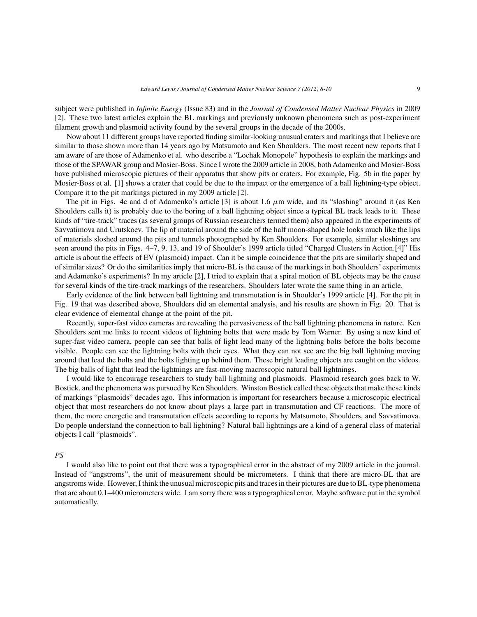subject were published in *Infinite Energy* (Issue 83) and in the *Journal of Condensed Matter Nuclear Physics* in 2009 [2]. These two latest articles explain the BL markings and previously unknown phenomena such as post-experiment filament growth and plasmoid activity found by the several groups in the decade of the 2000s.

Now about 11 different groups have reported finding similar-looking unusual craters and markings that I believe are similar to those shown more than 14 years ago by Matsumoto and Ken Shoulders. The most recent new reports that I am aware of are those of Adamenko et al. who describe a "Lochak Monopole" hypothesis to explain the markings and those of the SPAWAR group and Mosier-Boss. Since I wrote the 2009 article in 2008, both Adamenko and Mosier-Boss have published microscopic pictures of their apparatus that show pits or craters. For example, Fig. 5b in the paper by Mosier-Boss et al. [1] shows a crater that could be due to the impact or the emergence of a ball lightning-type object. Compare it to the pit markings pictured in my 2009 article [2].

The pit in Figs. 4c and d of Adamenko's article [3] is about 1.6  $\mu$ m wide, and its "sloshing" around it (as Ken Shoulders calls it) is probably due to the boring of a ball lightning object since a typical BL track leads to it. These kinds of "tire-track" traces (as several groups of Russian researchers termed them) also appeared in the experiments of Savvatimova and Urutskoev. The lip of material around the side of the half moon-shaped hole looks much like the lips of materials sloshed around the pits and tunnels photographed by Ken Shoulders. For example, similar sloshings are seen around the pits in Figs. 4–7, 9, 13, and 19 of Shoulder's 1999 article titled "Charged Clusters in Action.[4]" His article is about the effects of EV (plasmoid) impact. Can it be simple coincidence that the pits are similarly shaped and of similar sizes? Or do the similarities imply that micro-BL is the cause of the markings in both Shoulders' experiments and Adamenko's experiments? In my article [2], I tried to explain that a spiral motion of BL objects may be the cause for several kinds of the tire-track markings of the researchers. Shoulders later wrote the same thing in an article.

Early evidence of the link between ball lightning and transmutation is in Shoulder's 1999 article [4]. For the pit in Fig. 19 that was described above, Shoulders did an elemental analysis, and his results are shown in Fig. 20. That is clear evidence of elemental change at the point of the pit.

Recently, super-fast video cameras are revealing the pervasiveness of the ball lightning phenomena in nature. Ken Shoulders sent me links to recent videos of lightning bolts that were made by Tom Warner. By using a new kind of super-fast video camera, people can see that balls of light lead many of the lightning bolts before the bolts become visible. People can see the lightning bolts with their eyes. What they can not see are the big ball lightning moving around that lead the bolts and the bolts lighting up behind them. These bright leading objects are caught on the videos. The big balls of light that lead the lightnings are fast-moving macroscopic natural ball lightnings.

I would like to encourage researchers to study ball lightning and plasmoids. Plasmoid research goes back to W. Bostick, and the phenomena was pursued by Ken Shoulders. Winston Bostick called these objects that make these kinds of markings "plasmoids" decades ago. This information is important for researchers because a microscopic electrical object that most researchers do not know about plays a large part in transmutation and CF reactions. The more of them, the more energetic and transmutation effects according to reports by Matsumoto, Shoulders, and Savvatimova. Do people understand the connection to ball lightning? Natural ball lightnings are a kind of a general class of material objects I call "plasmoids".

#### *PS*

I would also like to point out that there was a typographical error in the abstract of my 2009 article in the journal. Instead of "angstroms", the unit of measurement should be micrometers. I think that there are micro-BL that are angstroms wide. However, I think the unusual microscopic pits and traces in their pictures are due to BL-type phenomena that are about 0.1–400 micrometers wide. I am sorry there was a typographical error. Maybe software put in the symbol automatically.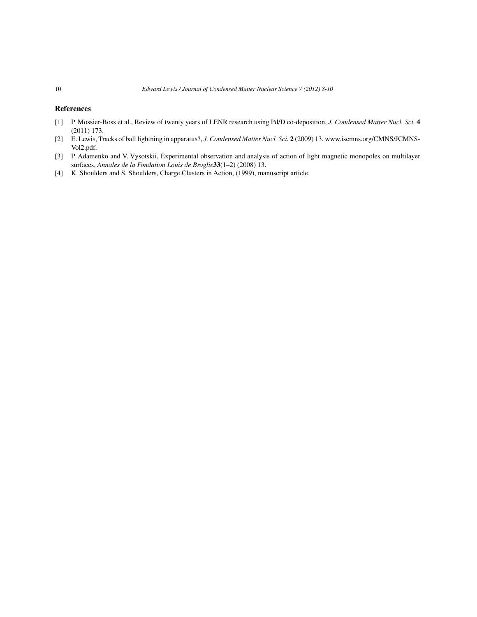#### **References**

- [1] P. Mossier-Boss et al., Review of twenty years of LENR research using Pd/D co-deposition, *J. Condensed Matter Nucl. Sci.* **4** (2011) 173.
- [2] E. Lewis, Tracks of ball lightning in apparatus?, *J. Condensed Matter Nucl. Sci.* **2** (2009) 13. www.iscmns.org/CMNS/JCMNS-Vol2.pdf.
- [3] P. Adamenko and V. Vysotskii, Experimental observation and analysis of action of light magnetic monopoles on multilayer surfaces, *Annales de la Fondation Louis de Broglie***33**(1–2) (2008) 13.
- [4] K. Shoulders and S. Shoulders, Charge Clusters in Action, (1999), manuscript article.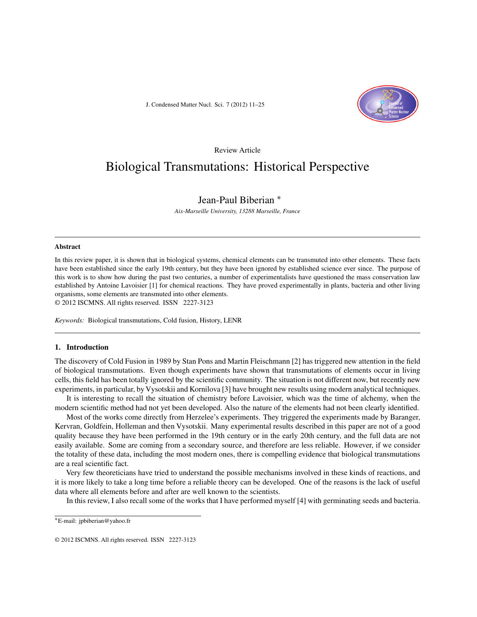J. Condensed Matter Nucl. Sci. 7 (2012) 11–25



#### Review Article

### Biological Transmutations: Historical Perspective

#### Jean-Paul Biberian ∗

*Aix-Marseille University, 13288 Marseille, France*

#### **Abstract**

In this review paper, it is shown that in biological systems, chemical elements can be transmuted into other elements. These facts have been established since the early 19th century, but they have been ignored by established science ever since. The purpose of this work is to show how during the past two centuries, a number of experimentalists have questioned the mass conservation law established by Antoine Lavoisier [1] for chemical reactions. They have proved experimentally in plants, bacteria and other living organisms, some elements are transmuted into other elements. © 2012 ISCMNS. All rights reserved. ISSN 2227-3123

*Keywords:* Biological transmutations, Cold fusion, History, LENR

#### **1. Introduction**

The discovery of Cold Fusion in 1989 by Stan Pons and Martin Fleischmann [2] has triggered new attention in the field of biological transmutations. Even though experiments have shown that transmutations of elements occur in living cells, this field has been totally ignored by the scientific community. The situation is not different now, but recently new experiments, in particular, by Vysotskii and Kornilova [3] have brought new results using modern analytical techniques.

It is interesting to recall the situation of chemistry before Lavoisier, which was the time of alchemy, when the modern scientific method had not yet been developed. Also the nature of the elements had not been clearly identified.

Most of the works come directly from Herzelee's experiments. They triggered the experiments made by Baranger, Kervran, Goldfein, Holleman and then Vysotskii. Many experimental results described in this paper are not of a good quality because they have been performed in the 19th century or in the early 20th century, and the full data are not easily available. Some are coming from a secondary source, and therefore are less reliable. However, if we consider the totality of these data, including the most modern ones, there is compelling evidence that biological transmutations are a real scientific fact.

Very few theoreticians have tried to understand the possible mechanisms involved in these kinds of reactions, and it is more likely to take a long time before a reliable theory can be developed. One of the reasons is the lack of useful data where all elements before and after are well known to the scientists.

In this review, I also recall some of the works that I have performed myself [4] with germinating seeds and bacteria.

<sup>∗</sup>E-mail: jpbiberian@yahoo.fr

<sup>© 2012</sup> ISCMNS. All rights reserved. ISSN 2227-3123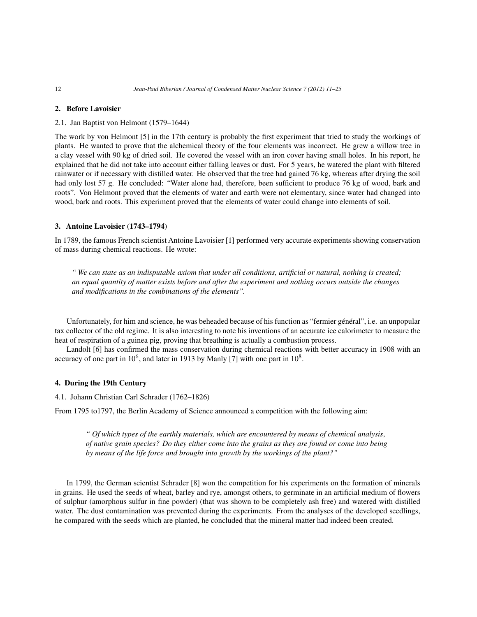#### **2. Before Lavoisier**

2.1. Jan Baptist von Helmont (1579–1644)

The work by von Helmont [5] in the 17th century is probably the first experiment that tried to study the workings of plants. He wanted to prove that the alchemical theory of the four elements was incorrect. He grew a willow tree in a clay vessel with 90 kg of dried soil. He covered the vessel with an iron cover having small holes. In his report, he explained that he did not take into account either falling leaves or dust. For 5 years, he watered the plant with filtered rainwater or if necessary with distilled water. He observed that the tree had gained 76 kg, whereas after drying the soil had only lost 57 g. He concluded: "Water alone had, therefore, been sufficient to produce 76 kg of wood, bark and roots". Von Helmont proved that the elements of water and earth were not elementary, since water had changed into wood, bark and roots. This experiment proved that the elements of water could change into elements of soil.

#### **3. Antoine Lavoisier (1743–1794)**

In 1789, the famous French scientist Antoine Lavoisier [1] performed very accurate experiments showing conservation of mass during chemical reactions. He wrote:

*" We can state as an indisputable axiom that under all conditions, artificial or natural, nothing is created; an equal quantity of matter exists before and after the experiment and nothing occurs outside the changes and modifications in the combinations of the elements".*

Unfortunately, for him and science, he was beheaded because of his function as "fermier général", i.e. an unpopular tax collector of the old regime. It is also interesting to note his inventions of an accurate ice calorimeter to measure the heat of respiration of a guinea pig, proving that breathing is actually a combustion process.

Landolt [6] has confirmed the mass conservation during chemical reactions with better accuracy in 1908 with an accuracy of one part in  $10^6$ , and later in 1913 by Manly [7] with one part in  $10^8$ .

#### **4. During the 19th Century**

4.1. Johann Christian Carl Schrader (1762–1826)

From 1795 to1797, the Berlin Academy of Science announced a competition with the following aim:

*" Of which types of the earthly materials, which are encountered by means of chemical analysis*, *of native grain species? Do they either come into the grains as they are found or come into being by means of the life force and brought into growth by the workings of the plant?"*

In 1799, the German scientist Schrader [8] won the competition for his experiments on the formation of minerals in grains. He used the seeds of wheat, barley and rye, amongst others, to germinate in an artificial medium of flowers of sulphur (amorphous sulfur in fine powder) (that was shown to be completely ash free) and watered with distilled water. The dust contamination was prevented during the experiments. From the analyses of the developed seedlings, he compared with the seeds which are planted, he concluded that the mineral matter had indeed been created.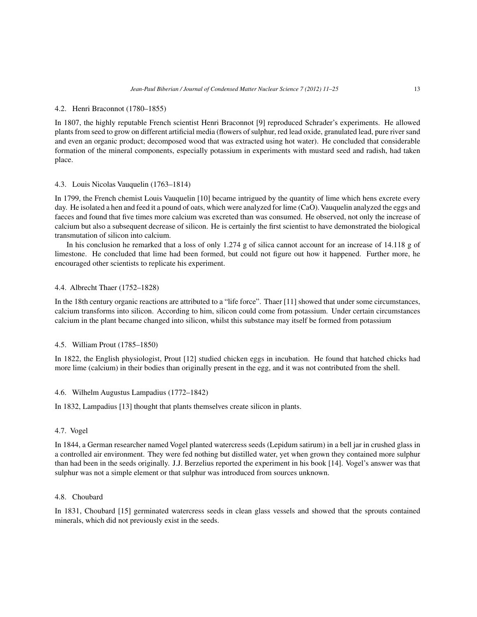#### 4.2. Henri Braconnot (1780–1855)

In 1807, the highly reputable French scientist Henri Braconnot [9] reproduced Schrader's experiments. He allowed plants from seed to grow on different artificial media (flowers of sulphur, red lead oxide, granulated lead, pure river sand and even an organic product; decomposed wood that was extracted using hot water). He concluded that considerable formation of the mineral components, especially potassium in experiments with mustard seed and radish, had taken place.

#### 4.3. Louis Nicolas Vauquelin (1763–1814)

In 1799, the French chemist Louis Vauquelin [10] became intrigued by the quantity of lime which hens excrete every day. He isolated a hen and feed it a pound of oats, which were analyzed for lime (CaO). Vauquelin analyzed the eggs and faeces and found that five times more calcium was excreted than was consumed. He observed, not only the increase of calcium but also a subsequent decrease of silicon. He is certainly the first scientist to have demonstrated the biological transmutation of silicon into calcium.

In his conclusion he remarked that a loss of only 1.274 g of silica cannot account for an increase of 14.118 g of limestone. He concluded that lime had been formed, but could not figure out how it happened. Further more, he encouraged other scientists to replicate his experiment.

#### 4.4. Albrecht Thaer (1752–1828)

In the 18th century organic reactions are attributed to a "life force". Thaer [11] showed that under some circumstances, calcium transforms into silicon. According to him, silicon could come from potassium. Under certain circumstances calcium in the plant became changed into silicon, whilst this substance may itself be formed from potassium

#### 4.5. William Prout (1785–1850)

In 1822, the English physiologist, Prout [12] studied chicken eggs in incubation. He found that hatched chicks had more lime (calcium) in their bodies than originally present in the egg, and it was not contributed from the shell.

#### 4.6. Wilhelm Augustus Lampadius (1772–1842)

In 1832, Lampadius [13] thought that plants themselves create silicon in plants.

#### 4.7. Vogel

In 1844, a German researcher named Vogel planted watercress seeds (Lepidum satirum) in a bell jar in crushed glass in a controlled air environment. They were fed nothing but distilled water, yet when grown they contained more sulphur than had been in the seeds originally. J.J. Berzelius reported the experiment in his book [14]. Vogel's answer was that sulphur was not a simple element or that sulphur was introduced from sources unknown.

#### 4.8. Choubard

In 1831, Choubard [15] germinated watercress seeds in clean glass vessels and showed that the sprouts contained minerals, which did not previously exist in the seeds.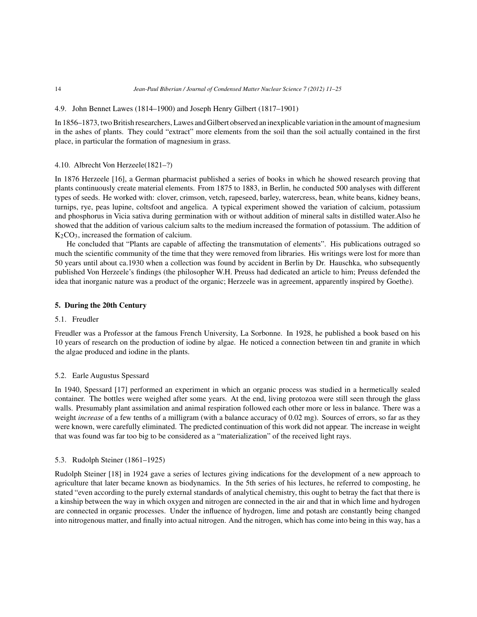#### 4.9. John Bennet Lawes (1814–1900) and Joseph Henry Gilbert (1817–1901)

In 1856–1873, two British researchers, Lawes and Gilbert observed an inexplicable variation in the amount of magnesium in the ashes of plants. They could "extract" more elements from the soil than the soil actually contained in the first place, in particular the formation of magnesium in grass.

#### 4.10. Albrecht Von Herzeele(1821–?)

In 1876 Herzeele [16], a German pharmacist published a series of books in which he showed research proving that plants continuously create material elements. From 1875 to 1883, in Berlin, he conducted 500 analyses with different types of seeds. He worked with: clover, crimson, vetch, rapeseed, barley, watercress, bean, white beans, kidney beans, turnips, rye, peas lupine, coltsfoot and angelica. A typical experiment showed the variation of calcium, potassium and phosphorus in Vicia sativa during germination with or without addition of mineral salts in distilled water.Also he showed that the addition of various calcium salts to the medium increased the formation of potassium. The addition of  $K<sub>2</sub>CO<sub>3</sub>$ , increased the formation of calcium.

He concluded that "Plants are capable of affecting the transmutation of elements". His publications outraged so much the scientific community of the time that they were removed from libraries. His writings were lost for more than 50 years until about ca.1930 when a collection was found by accident in Berlin by Dr. Hauschka, who subsequently published Von Herzeele's findings (the philosopher W.H. Preuss had dedicated an article to him; Preuss defended the idea that inorganic nature was a product of the organic; Herzeele was in agreement, apparently inspired by Goethe).

#### **5. During the 20th Century**

#### 5.1. Freudler

Freudler was a Professor at the famous French University, La Sorbonne. In 1928, he published a book based on his 10 years of research on the production of iodine by algae. He noticed a connection between tin and granite in which the algae produced and iodine in the plants.

#### 5.2. Earle Augustus Spessard

In 1940, Spessard [17] performed an experiment in which an organic process was studied in a hermetically sealed container. The bottles were weighed after some years. At the end, living protozoa were still seen through the glass walls. Presumably plant assimilation and animal respiration followed each other more or less in balance. There was a weight *increase* of a few tenths of a milligram (with a balance accuracy of 0.02 mg). Sources of errors, so far as they were known, were carefully eliminated. The predicted continuation of this work did not appear. The increase in weight that was found was far too big to be considered as a "materialization" of the received light rays.

#### 5.3. Rudolph Steiner (1861–1925)

Rudolph Steiner [18] in 1924 gave a series of lectures giving indications for the development of a new approach to agriculture that later became known as biodynamics. In the 5th series of his lectures, he referred to composting, he stated "even according to the purely external standards of analytical chemistry, this ought to betray the fact that there is a kinship between the way in which oxygen and nitrogen are connected in the air and that in which lime and hydrogen are connected in organic processes. Under the influence of hydrogen, lime and potash are constantly being changed into nitrogenous matter, and finally into actual nitrogen. And the nitrogen, which has come into being in this way, has a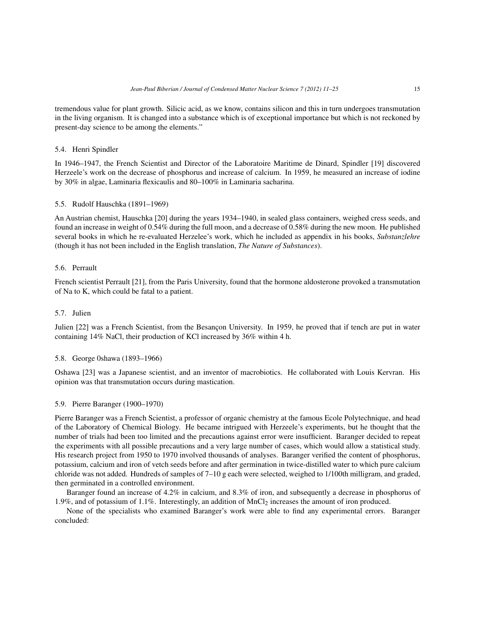tremendous value for plant growth. Silicic acid, as we know, contains silicon and this in turn undergoes transmutation in the living organism. It is changed into a substance which is of exceptional importance but which is not reckoned by present-day science to be among the elements."

#### 5.4. Henri Spindler

In 1946–1947, the French Scientist and Director of the Laboratoire Maritime de Dinard, Spindler [19] discovered Herzeele's work on the decrease of phosphorus and increase of calcium. In 1959, he measured an increase of iodine by 30% in algae, Laminaria flexicaulis and 80–100% in Laminaria sacharina.

#### 5.5. Rudolf Hauschka (1891–1969)

An Austrian chemist, Hauschka [20] during the years 1934–1940, in sealed glass containers, weighed cress seeds, and found an increase in weight of 0.54% during the full moon, and a decrease of 0.58% during the new moon. He published several books in which he re-evaluated Herzelee's work, which he included as appendix in his books, *Substanzlehre* (though it has not been included in the English translation, *The Nature of Substances*).

#### 5.6. Perrault

French scientist Perrault [21], from the Paris University, found that the hormone aldosterone provoked a transmutation of Na to K, which could be fatal to a patient.

#### 5.7. Julien

Julien [22] was a French Scientist, from the Besançon University. In 1959, he proved that if tench are put in water containing 14% NaCl, their production of KCl increased by 36% within 4 h.

#### 5.8. George 0shawa (1893–1966)

Oshawa [23] was a Japanese scientist, and an inventor of macrobiotics. He collaborated with Louis Kervran. His opinion was that transmutation occurs during mastication.

#### 5.9. Pierre Baranger (1900–1970)

Pierre Baranger was a French Scientist, a professor of organic chemistry at the famous Ecole Polytechnique, and head of the Laboratory of Chemical Biology. He became intrigued with Herzeele's experiments, but he thought that the number of trials had been too limited and the precautions against error were insufficient. Baranger decided to repeat the experiments with all possible precautions and a very large number of cases, which would allow a statistical study. His research project from 1950 to 1970 involved thousands of analyses. Baranger verified the content of phosphorus, potassium, calcium and iron of vetch seeds before and after germination in twice-distilled water to which pure calcium chloride was not added. Hundreds of samples of 7–10 g each were selected, weighed to 1/100th milligram, and graded, then germinated in a controlled environment.

Baranger found an increase of 4.2% in calcium, and 8.3% of iron, and subsequently a decrease in phosphorus of 1.9%, and of potassium of 1.1%. Interestingly, an addition of  $MnCl<sub>2</sub>$  increases the amount of iron produced.

None of the specialists who examined Baranger's work were able to find any experimental errors. Baranger concluded: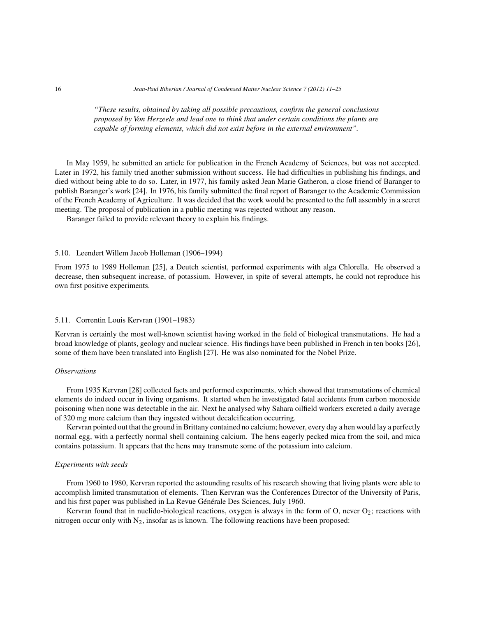*"These results, obtained by taking all possible precautions, confirm the general conclusions proposed by Von Herzeele and lead one to think that under certain conditions the plants are capable of forming elements, which did not exist before in the external environment".*

In May 1959, he submitted an article for publication in the French Academy of Sciences, but was not accepted. Later in 1972, his family tried another submission without success. He had difficulties in publishing his findings, and died without being able to do so. Later, in 1977, his family asked Jean Marie Gatheron, a close friend of Baranger to publish Baranger's work [24]. In 1976, his family submitted the final report of Baranger to the Academic Commission of the French Academy of Agriculture. It was decided that the work would be presented to the full assembly in a secret meeting. The proposal of publication in a public meeting was rejected without any reason.

Baranger failed to provide relevant theory to explain his findings.

#### 5.10. Leendert Willem Jacob Holleman (1906–1994)

From 1975 to 1989 Holleman [25], a Deutch scientist, performed experiments with alga Chlorella. He observed a decrease, then subsequent increase, of potassium. However, in spite of several attempts, he could not reproduce his own first positive experiments.

#### 5.11. Correntin Louis Kervran (1901–1983)

Kervran is certainly the most well-known scientist having worked in the field of biological transmutations. He had a broad knowledge of plants, geology and nuclear science. His findings have been published in French in ten books [26], some of them have been translated into English [27]. He was also nominated for the Nobel Prize.

#### *Observations*

From 1935 Kervran [28] collected facts and performed experiments, which showed that transmutations of chemical elements do indeed occur in living organisms. It started when he investigated fatal accidents from carbon monoxide poisoning when none was detectable in the air. Next he analysed why Sahara oilfield workers excreted a daily average of 320 mg more calcium than they ingested without decalcification occurring.

Kervran pointed out that the ground in Brittany contained no calcium; however, every day a hen would lay a perfectly normal egg, with a perfectly normal shell containing calcium. The hens eagerly pecked mica from the soil, and mica contains potassium. It appears that the hens may transmute some of the potassium into calcium.

#### *Experiments with seeds*

From 1960 to 1980, Kervran reported the astounding results of his research showing that living plants were able to accomplish limited transmutation of elements. Then Kervran was the Conferences Director of the University of Paris, and his first paper was published in La Revue Générale Des Sciences, July 1960.

Kervran found that in nuclido-biological reactions, oxygen is always in the form of  $O$ , never  $O_2$ ; reactions with nitrogen occur only with  $N_2$ , insofar as is known. The following reactions have been proposed: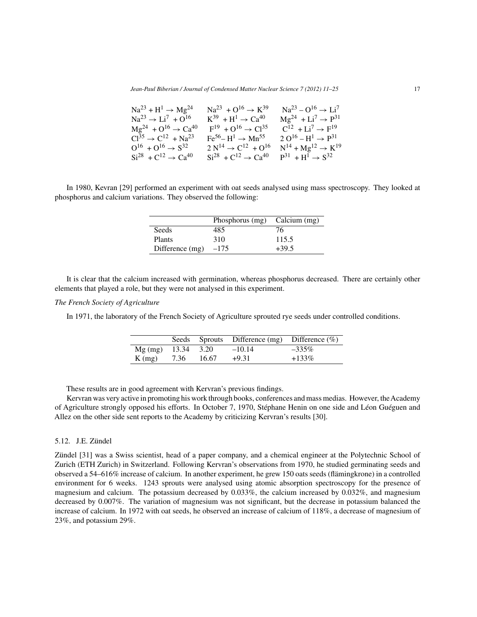| $Na^{23} + H^{1} \rightarrow Mg^{24}$  | $Na^{23} + O^{16} \rightarrow K^{39}$                    | $Na^{23} - O^{16} \rightarrow Li^{7}$ |
|----------------------------------------|----------------------------------------------------------|---------------------------------------|
| $Na^{23} \rightarrow Li^{7} + O^{16}$  | $K^{39} + H^1 \rightarrow Ca^{40}$                       | $Mg^{24} + Li^7 \rightarrow P^{31}$   |
| $Mg^{24} + O^{16} \rightarrow Ca^{40}$ | $F^{19} + O^{16} \rightarrow Cl^{35}$                    | $C^{12} + Li^7 \rightarrow F^{19}$    |
| $Cl^{35} \rightarrow C^{12} + Na^{23}$ | $\text{Fe}^{56} - \text{H}^1 \rightarrow \text{Mn}^{55}$ | $2 O^{16} - H^1 \rightarrow P^{31}$   |
| $O^{16} + O^{16} \rightarrow S^{32}$   | $2 N^{14} \rightarrow C^{12} + O^{16}$                   | $N^{14} + Mg^{12} \rightarrow K^{19}$ |
| $Si^{28} + C^{12} \rightarrow Ca^{40}$ | $Si^{28} + C^{12} \rightarrow Ca^{40}$                   | $P^{31} + H^1 \rightarrow S^{32}$     |
|                                        |                                                          |                                       |

In 1980, Kevran [29] performed an experiment with oat seeds analysed using mass spectroscopy. They looked at phosphorus and calcium variations. They observed the following:

|                 | Phosphorus (mg) | Calcium (mg) |
|-----------------|-----------------|--------------|
| Seeds           | 485             | 76           |
| <b>Plants</b>   | 310             | 115.5        |
| Difference (mg) | $-175$          | $+39.5$      |

It is clear that the calcium increased with germination, whereas phosphorus decreased. There are certainly other elements that played a role, but they were not analysed in this experiment.

#### *The French Society of Agriculture*

In 1971, the laboratory of the French Society of Agriculture sprouted rye seeds under controlled conditions.

|                      |      |       | Seeds Sprouts Difference $(mg)$ Difference $(\%)$ |          |
|----------------------|------|-------|---------------------------------------------------|----------|
| $Mg$ (mg) 13.34 3.20 |      |       | $-10.14$                                          | $-335\%$ |
| $K$ (mg)             | 7.36 | 16.67 | $+9.31$                                           | $+133\%$ |

These results are in good agreement with Kervran's previous findings.

Kervran was very active in promoting his work through books, conferences and mass medias. However, the Academy of Agriculture strongly opposed his efforts. In October 7, 1970, Stéphane Henin on one side and Léon Guéguen and Allez on the other side sent reports to the Academy by criticizing Kervran's results [30].

#### 5.12. J.E. Zündel

Zündel [31] was a Swiss scientist, head of a paper company, and a chemical engineer at the Polytechnic School of Zurich (ETH Zurich) in Switzerland. Following Kervran's observations from 1970, he studied germinating seeds and observed a 54–616% increase of calcium. In another experiment, he grew 150 oats seeds (flämingkrone) in a controlled environment for 6 weeks. 1243 sprouts were analysed using atomic absorption spectroscopy for the presence of magnesium and calcium. The potassium decreased by 0.033%, the calcium increased by 0.032%, and magnesium decreased by 0.007%. The variation of magnesium was not significant, but the decrease in potassium balanced the increase of calcium. In 1972 with oat seeds, he observed an increase of calcium of 118%, a decrease of magnesium of 23%, and potassium 29%.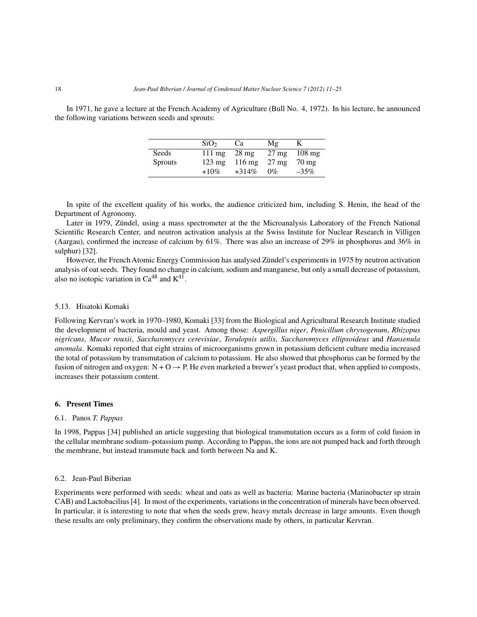In 1971, he gave a lecture at the French Academy of Agriculture (Bull No. 4, 1972). In his lecture, he announced the following variations between seeds and sprouts:

|                | SiO <sub>2</sub> | Ca               | Mg              |                    |
|----------------|------------------|------------------|-----------------|--------------------|
| Seeds          | $111 \text{ mg}$ | $28 \text{ mg}$  | $27 \text{ mg}$ | $108 \text{ mg}$   |
| <b>Sprouts</b> | $123 \text{ mg}$ | $116 \text{ mg}$ | $27 \text{ mg}$ | $70 \,\mathrm{mg}$ |
|                | $+10%$           | $+314\%$         | $0\%$           | $-35%$             |

In spite of the excellent quality of his works, the audience criticized him, including S. Henin, the head of the Department of Agronomy.

Later in 1979, Zündel, using a mass spectrometer at the the Microanalysis Laboratory of the French National Scientific Research Center, and neutron activation analysis at the Swiss Institute for Nuclear Research in Villigen (Aargau), confirmed the increase of calcium by 61%. There was also an increase of 29% in phosphorus and 36% in sulphur) [32].

However, the French Atomic Energy Commission has analysed Zündel's experiments in 1975 by neutron activation analysis of oat seeds. They found no change in calcium, sodium and manganese, but only a small decrease of potassium, also no isotopic variation in  $Ca^{48}$  and  $K^{41}$ .

#### 5.13. Hisatoki Komaki

Following Kervran's work in 1970–1980, Komaki [33] from the Biological and Agricultural Research Institute studied the development of bacteria, mould and yeast. Among those: *Aspergillus niger*, *Penicillum chrysogenum*, *Rhizopus nigricans*, *Mucor rouxii*, *Saccharomyces cerevisiae*, *Torulopsis utilis*, *Saccharomyces ellipsoideus* and *Hansenula anomala*. Komaki reported that eight strains of microorganisms grown in potassium deficient culture media increased the total of potassium by transmutation of calcium to potassium. He also showed that phosphorus can be formed by the fusion of nitrogen and oxygen:  $N + O \rightarrow P$ . He even marketed a brewer's yeast product that, when applied to composts, increases their potassium content.

#### **6. Present Times**

#### 6.1. Panos *T. Pappas*

In 1998, Pappas [34] published an article suggesting that biological transmutation occurs as a form of cold fusion in the cellular membrane sodium–potassium pump. According to Pappas, the ions are not pumped back and forth through the membrane, but instead transmute back and forth between Na and K.

#### 6.2. Jean-Paul Biberian

Experiments were performed with seeds: wheat and oats as well as bacteria: Marine bacteria (Marinobacter sp strain CAB) and Lactobacilius [4]. In most of the experiments, variations in the concentration of minerals have been observed. In particular, it is interesting to note that when the seeds grew, heavy metals decrease in large amounts. Even though these results are only preliminary, they confirm the observations made by others, in particular Kervran.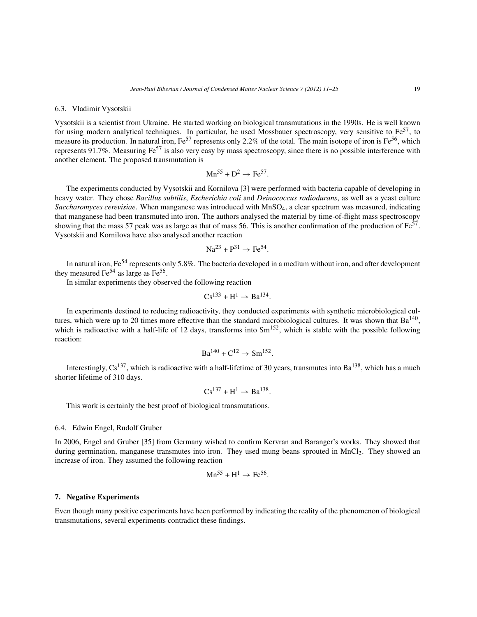#### 6.3. Vladimir Vysotskii

Vysotskii is a scientist from Ukraine. He started working on biological transmutations in the 1990s. He is well known for using modern analytical techniques. In particular, he used Mossbauer spectroscopy, very sensitive to  $Fe^{57}$ , to measure its production. In natural iron,  $Fe^{57}$  represents only 2.2% of the total. The main isotope of iron is  $Fe^{56}$ , which represents 91.7%. Measuring Fe<sup>57</sup> is also very easy by mass spectroscopy, since there is no possible interference with another element. The proposed transmutation is

$$
\text{Mn}^{55} + \text{D}^2 \rightarrow \text{Fe}^{57}.
$$

The experiments conducted by Vysotskii and Kornilova [3] were performed with bacteria capable of developing in heavy water. They chose *Bacillus subtilis*, *Escherichia coli* and *Deinococcus radiodurans*, as well as a yeast culture *Saccharomyces cerevisiae*. When manganese was introduced with MnSO4, a clear spectrum was measured, indicating that manganese had been transmuted into iron. The authors analysed the material by time-of-flight mass spectroscopy showing that the mass 57 peak was as large as that of mass 56. This is another confirmation of the production of  $Fe^{57}$ . Vysotskii and Kornilova have also analysed another reaction

$$
\mathrm{Na}^{23} + \mathrm{P}^{31} \rightarrow \mathrm{Fe}^{54}.
$$

In natural iron, Fe<sup>54</sup> represents only 5.8%. The bacteria developed in a medium without iron, and after development they measured Fe<sup>54</sup> as large as Fe<sup>56</sup>.

In similar experiments they observed the following reaction

$$
Cs^{133} + H^1 \to Ba^{134}.
$$

In experiments destined to reducing radioactivity, they conducted experiments with synthetic microbiological cultures, which were up to 20 times more effective than the standard microbiological cultures. It was shown that  $Ba^{140}$ , which is radioactive with a half-life of 12 days, transforms into  $Sm<sup>152</sup>$ , which is stable with the possible following reaction:

$$
\text{Ba}^{140} + \text{C}^{12} \to \text{Sm}^{152}.
$$

Interestingly,  $Cs^{137}$ , which is radioactive with a half-lifetime of 30 years, transmutes into  $Ba^{138}$ , which has a much shorter lifetime of 310 days.

$$
Cs^{137} + H^1 \rightarrow Ba^{138}.
$$

This work is certainly the best proof of biological transmutations.

#### 6.4. Edwin Engel, Rudolf Gruber

In 2006, Engel and Gruber [35] from Germany wished to confirm Kervran and Baranger's works. They showed that during germination, manganese transmutes into iron. They used mung beans sprouted in MnCl<sub>2</sub>. They showed an increase of iron. They assumed the following reaction

$$
\text{Mn}^{55} + \text{H}^1 \rightarrow \text{Fe}^{56}.
$$

#### **7. Negative Experiments**

Even though many positive experiments have been performed by indicating the reality of the phenomenon of biological transmutations, several experiments contradict these findings.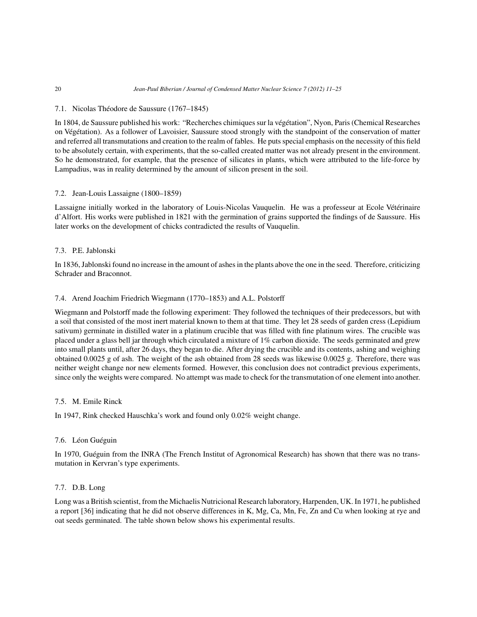#### 7.1. Nicolas Théodore de Saussure (1767–1845)

In 1804, de Saussure published his work: "Recherches chimiques sur la végétation", Nyon, Paris (Chemical Researches on Végétation). As a follower of Lavoisier, Saussure stood strongly with the standpoint of the conservation of matter and referred all transmutations and creation to the realm of fables. He puts special emphasis on the necessity of this field to be absolutely certain, with experiments, that the so-called created matter was not already present in the environment. So he demonstrated, for example, that the presence of silicates in plants, which were attributed to the life-force by Lampadius, was in reality determined by the amount of silicon present in the soil.

#### 7.2. Jean-Louis Lassaigne (1800–1859)

Lassaigne initially worked in the laboratory of Louis-Nicolas Vauquelin. He was a professeur at Ecole Vétérinaire d'Alfort. His works were published in 1821 with the germination of grains supported the findings of de Saussure. His later works on the development of chicks contradicted the results of Vauquelin.

#### 7.3. P.E. Jablonski

In 1836, Jablonski found no increase in the amount of ashes in the plants above the one in the seed. Therefore, criticizing Schrader and Braconnot.

#### 7.4. Arend Joachim Friedrich Wiegmann (1770–1853) and A.L. Polstorff

Wiegmann and Polstorff made the following experiment: They followed the techniques of their predecessors, but with a soil that consisted of the most inert material known to them at that time. They let 28 seeds of garden cress (Lepidium sativum) germinate in distilled water in a platinum crucible that was filled with fine platinum wires. The crucible was placed under a glass bell jar through which circulated a mixture of 1% carbon dioxide. The seeds germinated and grew into small plants until, after 26 days, they began to die. After drying the crucible and its contents, ashing and weighing obtained 0.0025 g of ash. The weight of the ash obtained from 28 seeds was likewise 0.0025 g. Therefore, there was neither weight change nor new elements formed. However, this conclusion does not contradict previous experiments, since only the weights were compared. No attempt was made to check for the transmutation of one element into another.

#### 7.5. M. Emile Rinck

In 1947, Rink checked Hauschka's work and found only 0.02% weight change.

#### 7.6. Léon Guéguin

In 1970, Guéguin from the INRA (The French Institut of Agronomical Research) has shown that there was no transmutation in Kervran's type experiments.

#### 7.7. D.B. Long

Long was a British scientist, from the Michaelis Nutricional Research laboratory, Harpenden, UK. In 1971, he published a report [36] indicating that he did not observe differences in K, Mg, Ca, Mn, Fe, Zn and Cu when looking at rye and oat seeds germinated. The table shown below shows his experimental results.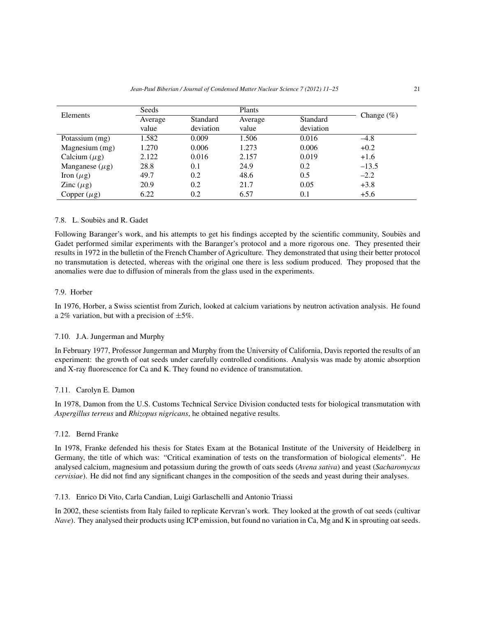|                     | Seeds   |           | Plants  |           |               |
|---------------------|---------|-----------|---------|-----------|---------------|
| Elements            | Average | Standard  | Average | Standard  | Change $(\%)$ |
|                     | value   | deviation | value   | deviation |               |
| Potassium (mg)      | 1.582   | 0.009     | 1.506   | 0.016     | $-4.8$        |
| Magnesium (mg)      | 1.270   | 0.006     | 1.273   | 0.006     | $+0.2$        |
| Calcium $(\mu g)$   | 2.122   | 0.016     | 2.157   | 0.019     | $+1.6$        |
| Manganese $(\mu g)$ | 28.8    | 0.1       | 24.9    | 0.2       | $-13.5$       |
| Iron $(\mu g)$      | 49.7    | 0.2       | 48.6    | 0.5       | $-2.2$        |
| Zinc $(\mu g)$      | 20.9    | 0.2       | 21.7    | 0.05      | $+3.8$        |
| Copper $(\mu g)$    | 6.22    | 0.2       | 6.57    | 0.1       | $+5.6$        |

#### 7.8. L. Soubiès and R. Gadet

Following Baranger's work, and his attempts to get his findings accepted by the scientific community, Soubiès and Gadet performed similar experiments with the Baranger's protocol and a more rigorous one. They presented their results in 1972 in the bulletin of the French Chamber of Agriculture. They demonstrated that using their better protocol no transmutation is detected, whereas with the original one there is less sodium produced. They proposed that the anomalies were due to diffusion of minerals from the glass used in the experiments.

#### 7.9. Horber

In 1976, Horber, a Swiss scientist from Zurich, looked at calcium variations by neutron activation analysis. He found a 2% variation, but with a precision of  $\pm 5\%$ .

#### 7.10. J.A. Jungerman and Murphy

In February 1977, Professor Jungerman and Murphy from the University of California, Davis reported the results of an experiment: the growth of oat seeds under carefully controlled conditions. Analysis was made by atomic absorption and X-ray fluorescence for Ca and K. They found no evidence of transmutation.

#### 7.11. Carolyn E. Damon

In 1978, Damon from the U.S. Customs Technical Service Division conducted tests for biological transmutation with *Aspergillus terreus* and *Rhizopus nigricans*, he obtained negative results.

#### 7.12. Bernd Franke

In 1978, Franke defended his thesis for States Exam at the Botanical Institute of the University of Heidelberg in Germany, the title of which was: "Critical examination of tests on the transformation of biological elements". He analysed calcium, magnesium and potassium during the growth of oats seeds (*Avena sativa*) and yeast (*Sacharomycus cervisiae*). He did not find any significant changes in the composition of the seeds and yeast during their analyses.

#### 7.13. Enrico Di Vito, Carla Candian, Luigi Garlaschelli and Antonio Triassi

In 2002, these scientists from Italy failed to replicate Kervran's work. They looked at the growth of oat seeds (cultivar *Nave*). They analysed their products using ICP emission, but found no variation in Ca, Mg and K in sprouting oat seeds.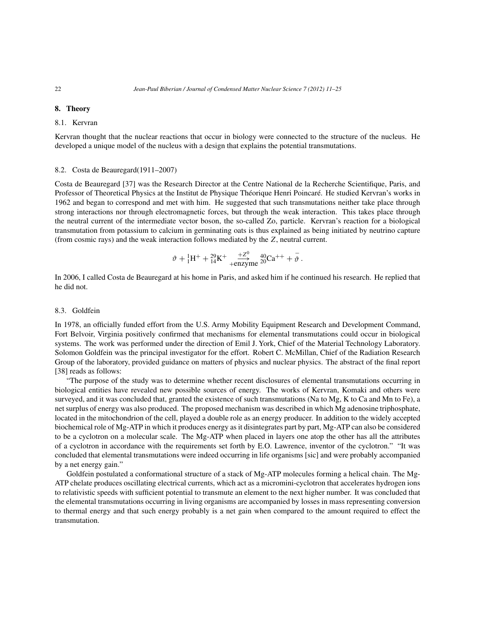#### **8. Theory**

#### 8.1. Kervran

Kervran thought that the nuclear reactions that occur in biology were connected to the structure of the nucleus. He developed a unique model of the nucleus with a design that explains the potential transmutations.

#### 8.2. Costa de Beauregard(1911–2007)

Costa de Beauregard [37] was the Research Director at the Centre National de la Recherche Scientifique, Paris, and Professor of Theoretical Physics at the Institut de Physique Théorique Henri Poincaré. He studied Kervran's works in 1962 and began to correspond and met with him. He suggested that such transmutations neither take place through strong interactions nor through electromagnetic forces, but through the weak interaction. This takes place through the neutral current of the intermediate vector boson, the so-called Zo, particle. Kervran's reaction for a biological transmutation from potassium to calcium in germinating oats is thus explained as being initiated by neutrino capture (from cosmic rays) and the weak interaction follows mediated by the Z, neutral current.

$$
\vartheta + {}_{1}^{1}H^{+} + {}_{14}^{29}K^{+} + \frac{{+Z^{0}}}{+\text{enzyme}} {}_{20}^{40}Ca^{++} + \bar{\vartheta}.
$$

In 2006, I called Costa de Beauregard at his home in Paris, and asked him if he continued his research. He replied that he did not.

#### 8.3. Goldfein

In 1978, an officially funded effort from the U.S. Army Mobility Equipment Research and Development Command, Fort Belvoir, Virginia positively confirmed that mechanisms for elemental transmutations could occur in biological systems. The work was performed under the direction of Emil J. York, Chief of the Material Technology Laboratory. Solomon Goldfein was the principal investigator for the effort. Robert C. McMillan, Chief of the Radiation Research Group of the laboratory, provided guidance on matters of physics and nuclear physics. The abstract of the final report [38] reads as follows:

"The purpose of the study was to determine whether recent disclosures of elemental transmutations occurring in biological entities have revealed new possible sources of energy. The works of Kervran, Komaki and others were surveyed, and it was concluded that, granted the existence of such transmutations (Na to Mg, K to Ca and Mn to Fe), a net surplus of energy was also produced. The proposed mechanism was described in which Mg adenosine triphosphate, located in the mitochondrion of the cell, played a double role as an energy producer. In addition to the widely accepted biochemical role of Mg-ATP in which it produces energy as it disintegrates part by part, Mg-ATP can also be considered to be a cyclotron on a molecular scale. The Mg-ATP when placed in layers one atop the other has all the attributes of a cyclotron in accordance with the requirements set forth by E.O. Lawrence, inventor of the cyclotron." "It was concluded that elemental transmutations were indeed occurring in life organisms [sic] and were probably accompanied by a net energy gain."

Goldfein postulated a conformational structure of a stack of Mg-ATP molecules forming a helical chain. The Mg-ATP chelate produces oscillating electrical currents, which act as a micromini-cyclotron that accelerates hydrogen ions to relativistic speeds with sufficient potential to transmute an element to the next higher number. It was concluded that the elemental transmutations occurring in living organisms are accompanied by losses in mass representing conversion to thermal energy and that such energy probably is a net gain when compared to the amount required to effect the transmutation.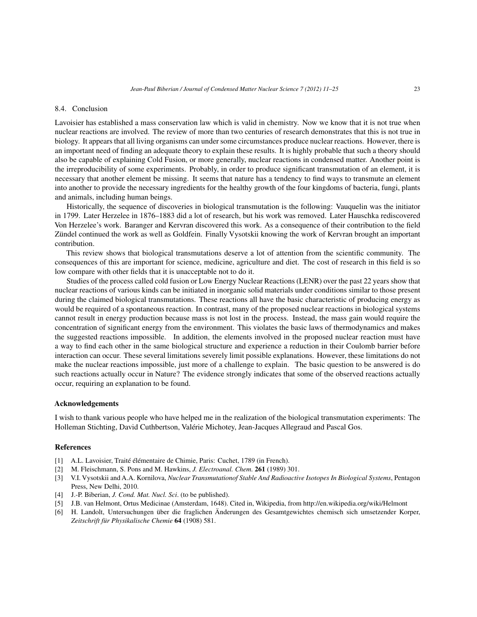#### 8.4. Conclusion

Lavoisier has established a mass conservation law which is valid in chemistry. Now we know that it is not true when nuclear reactions are involved. The review of more than two centuries of research demonstrates that this is not true in biology. It appears that all living organisms can under some circumstances produce nuclear reactions. However, there is an important need of finding an adequate theory to explain these results. It is highly probable that such a theory should also be capable of explaining Cold Fusion, or more generally, nuclear reactions in condensed matter. Another point is the irreproducibility of some experiments. Probably, in order to produce significant transmutation of an element, it is necessary that another element be missing. It seems that nature has a tendency to find ways to transmute an element into another to provide the necessary ingredients for the healthy growth of the four kingdoms of bacteria, fungi, plants and animals, including human beings.

Historically, the sequence of discoveries in biological transmutation is the following: Vauquelin was the initiator in 1799. Later Herzelee in 1876–1883 did a lot of research, but his work was removed. Later Hauschka rediscovered Von Herzelee's work. Baranger and Kervran discovered this work. As a consequence of their contribution to the field Zündel continued the work as well as Goldfein. Finally Vysotskii knowing the work of Kervran brought an important contribution.

This review shows that biological transmutations deserve a lot of attention from the scientific community. The consequences of this are important for science, medicine, agriculture and diet. The cost of research in this field is so low compare with other fields that it is unacceptable not to do it.

Studies of the process called cold fusion or Low Energy Nuclear Reactions (LENR) over the past 22 years show that nuclear reactions of various kinds can be initiated in inorganic solid materials under conditions similar to those present during the claimed biological transmutations. These reactions all have the basic characteristic of producing energy as would be required of a spontaneous reaction. In contrast, many of the proposed nuclear reactions in biological systems cannot result in energy production because mass is not lost in the process. Instead, the mass gain would require the concentration of significant energy from the environment. This violates the basic laws of thermodynamics and makes the suggested reactions impossible. In addition, the elements involved in the proposed nuclear reaction must have a way to find each other in the same biological structure and experience a reduction in their Coulomb barrier before interaction can occur. These several limitations severely limit possible explanations. However, these limitations do not make the nuclear reactions impossible, just more of a challenge to explain. The basic question to be answered is do such reactions actually occur in Nature? The evidence strongly indicates that some of the observed reactions actually occur, requiring an explanation to be found.

#### **Acknowledgements**

I wish to thank various people who have helped me in the realization of the biological transmutation experiments: The Holleman Stichting, David Cuthbertson, Valérie Michotey, Jean-Jacques Allegraud and Pascal Gos.

#### **References**

- [1] A.L. Lavoisier, Traité élémentaire de Chimie, Paris: Cuchet, 1789 (in French).
- [2] M. Fleischmann, S. Pons and M. Hawkins, *J. Electroanal. Chem.* **261** (1989) 301.
- [3] V.I. Vysotskii and A.A. Kornilova, *Nuclear Transmutationof Stable And Radioactive Isotopes In Biological Systems*, Pentagon Press, New Delhi, 2010.
- [4] J.-P. Biberian, *J. Cond. Mat. Nucl. Sci*. (to be published).
- [5] J.B. van Helmont, Ortus Medicinae (Amsterdam, 1648). Cited in, Wikipedia, from http://en.wikipedia.org/wiki/Helmont
- [6] H. Landolt, Untersuchungen über die fraglichen Änderungen des Gesamtgewichtes chemisch sich umsetzender Korper, *Zeitschrift für Physikalische Chemie* **64** (1908) 581.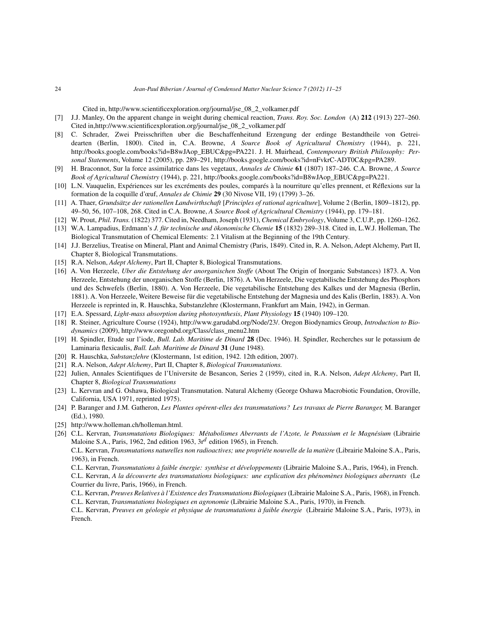Cited in, http://www.scientificexploration.org/journal/jse\_08\_2\_volkamer.pdf

- [7] J.J. Manley, On the apparent change in weight during chemical reaction, *Trans. Roy. Soc. London* (A) **212** (1913) 227–260. Cited in,http://www.scientificexploration.org/journal/jse\_08\_2\_volkamer.pdf
- [8] C. Schrader, Zwei Preisschriften uber die Beschaffenheitund Erzengung der erdinge Bestandtheile von Getreidearten (Berlin, 1800). Cited in, C.A. Browne, *A Source Book of Agricultural Chemistry* (1944), p. 221, http://books.google.com/books?id=B8wJAop\_EBUC&pg=PA221. J. H. Muirhead, *Contemporary British Philosophy: Personal Statements*, Volume 12 (2005), pp. 289–291, http://books.google.com/books?id=nFvkrC-ADT0C&pg=PA289.
- [9] H. Braconnot, Sur la force assimilatrice dans les vegetaux, *Annales de Chimie* **61** (1807) 187–246. C.A. Browne, *A Source Book of Agricultural Chemistry* (1944), p. 221, http://books.google.com/books?id=B8wJAop\_EBUC&pg=PA221.
- [10] L.N. Vauquelin, Expériences sur les excréments des poules, comparés à la nourriture qu'elles prennent, et Réflexions sur la formation de la coquille d'œuf, *Annales de Chimie* **29** (30 Nivose VII, 19) (1799) 3–26.
- [11] A. Thaer, *Grundsätze der rationellen Landwirthschaft* [*Principles of rational agriculture*], Volume 2 (Berlin, 1809–1812), pp. 49–50, 56, 107–108, 268. Cited in C.A. Browne, *A Source Book of Agricultural Chemistry* (1944), pp. 179–181.
- [12] W. Prout, *Phil. Trans.* (1822) 377. Cited in, Needham, Joseph (1931), *Chemical Embryology*, Volume 3, C.U.P., pp. 1260–1262.
- [13] W.A. Lampadius, Erdmann's *J. für technische und ökonomische Chemie* **15** (1832) 289–318. Cited in, L.W.J. Holleman, The Biological Transmutation of Chemical Elements: 2.1 Vitalism at the Beginning of the 19th Century.
- [14] J.J. Berzelius, Treatise on Mineral, Plant and Animal Chemistry (Paris, 1849). Cited in, R. A. Nelson, Adept Alchemy, Part II, Chapter 8, Biological Transmutations.
- [15] R.A. Nelson, *Adept Alchemy*, Part II, Chapter 8, Biological Transmutations.
- [16] A. Von Herzeele, *Uber die Entstehung der anorganischen Stoffe* (About The Origin of Inorganic Substances) 1873. A. Von Herzeele, Entstehung der unorganischen Stoffe (Berlin, 1876). A. Von Herzeele, Die vegetabilische Entstehung des Phosphors und des Schwefels (Berlin, 1880). A. Von Herzeele, Die vegetabilische Entstehung des Kalkes und der Magnesia (Berlin, 1881). A. Von Herzeele, Weitere Beweise für die vegetabilische Entstehung der Magnesia und des Kalis (Berlin, 1883). A. Von Herzeele is reprinted in, R. Hauschka, Substanzlehre (Klostermann, Frankfurt am Main, 1942), in German.
- [17] E.A. Spessard, *Light-mass absorption during photosynthesis*, *Plant Physiology* **15** (1940) 109–120.
- [18] R. Steiner, Agriculture Course (1924), http://www.garudabd.org/Node/23/. Oregon Biodynamics Group, *Introduction to Biodynamics* (2009), http://www.oregonbd.org/Class/class\_menu2.htm
- [19] H. Spindler, Etude sur l'iode, *Bull. Lab. Maritime de Dinard* **28** (Dec. 1946). H. Spindler, Recherches sur le potassium de Laminaria flexicaulis, *Bull. Lab. Maritime de Dinard* **31** (June 1948).
- [20] R. Hauschka, *Substanzlehre* (Klostermann, 1st edition, 1942. 12th edition, 2007).
- [21] R.A. Nelson, *Adept Alchemy*, Part II, Chapter 8, *Biological Transmutations.*
- [22] Julien, Annales Scientifiques de l'Universite de Besancon, Series 2 (1959), cited in, R.A. Nelson, *Adept Alchemy*, Part II, Chapter 8, *Biological Transmutations*
- [23] L. Kervran and G. Oshawa, Biological Transmutation. Natural Alchemy (George Oshawa Macrobiotic Foundation, Oroville, California, USA 1971, reprinted 1975).
- [24] P. Baranger and J.M. Gatheron, *Les Plantes opérent-elles des transmutations? Les travaux de Pierre Baranger,* M. Baranger (Ed.), 1980.
- [25] http://www.holleman.ch/holleman.html.
- [26] C.L. Kervran, *Transmutations Biologiques: Métabolismes Aberrants de l'Azote, le Potassium et le Magnésium* (Librairie Maloine S.A., Paris, 1962, 2nd edition 1963,  $3r^d$  edition 1965), in French.

C.L. Kervran, *Transmutations à faible énergie: synthèse et développements* (Librairie Maloine S.A., Paris, 1964), in French.

C.L. Kervran, *A la découverte des transmutations biologiques: une explication des phénomènes biologiques aberrants* (Le Courrier du livre, Paris, 1966), in French.

C.L. Kervran, *Preuves Relatives à l'Existence des Transmutations Biologiques*(Librairie Maloine S.A., Paris, 1968), in French. C.L. Kervran, *Transmutations biologiques en agronomie* (Librairie Maloine S.A., Paris, 1970), in French.

C.L. Kervran, *Preuves en géologie et physique de transmutations à faible énergie* (Librairie Maloine S.A., Paris, 1973), in French.

C.L. Kervran, *Transmutations naturelles non radioactives; une propriéte nouvelle de la matière* (Librairie Maloine S.A., Paris, 1963), in French.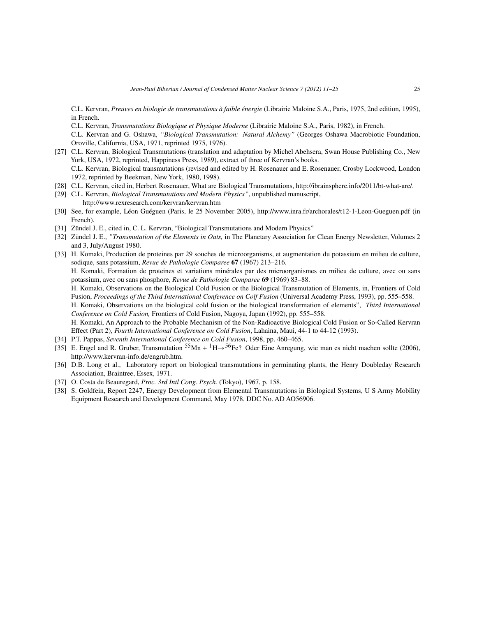C.L. Kervran, *Preuves en biologie de transmutations à faible énergie* (Librairie Maloine S.A., Paris, 1975, 2nd edition, 1995), in French.

C.L. Kervran, *Transmutations Biologique et Physique Moderne* (Librairie Maloine S.A., Paris, 1982), in French.

C.L. Kervran and G. Oshawa, *"Biological Transmutation: Natural Alchemy"* (Georges Oshawa Macrobiotic Foundation, Oroville, California, USA, 1971, reprinted 1975, 1976).

- [27] C.L. Kervran, Biological Transmutations (translation and adaptation by Michel Abehsera, Swan House Publishing Co., New York, USA, 1972, reprinted, Happiness Press, 1989), extract of three of Kervran's books. C.L. Kervran, Biological transmutations (revised and edited by H. Rosenauer and E. Rosenauer, Crosby Lockwood, London 1972, reprinted by Beekman, New York, 1980, 1998).
- [28] C.L. Kervran, cited in, Herbert Rosenauer, What are Biological Transmutations, http://ibrainsphere.info/2011/bt-what-are/.
- [29] C.L. Kervran, *Biological Transmutations and Modern Physics"*, unpublished manuscript, http://www.rexresearch.com/kervran/kervran.htm
- [30] See, for example, Léon Guéguen (Paris, le 25 November 2005), http://www.inra.fr/archorales/t12-1-Leon-Gueguen.pdf (in French).
- [31] Zündel J. E., cited in, C. L. Kervran, "Biological Transmutations and Modern Physics"
- [32] Zündel J. E., *"Transmutation of the Elements in Oats,* in The Planetary Association for Clean Energy Newsletter, Volumes 2 and 3, July/August 1980.
- [33] H. Komaki, Production de proteines par 29 souches de microorganisms, et augmentation du potassium en milieu de culture, sodique, sans potassium, *Revue de Pathologie Comparee* **67** (1967) 213–216.

H. Komaki, Formation de proteines et variations minérales par des microorganismes en milieu de culture, avec ou sans potassium, avec ou sans phosphore, *Revue de Pathologie Comparee* **69** (1969) 83–88.

H. Komaki, Observations on the Biological Cold Fusion or the Biological Transmutation of Elements, in, Frontiers of Cold Fusion, *Proceedings of the Third International Conference on Colf Fusion* (Universal Academy Press, 1993), pp. 555–558.

H. Komaki, Observations on the biological cold fusion or the biological transformation of elements", *Third International Conference on Cold Fusion,* Frontiers of Cold Fusion, Nagoya, Japan (1992), pp. 555–558.

H. Komaki, An Approach to the Probable Mechanism of the Non-Radioactive Biological Cold Fusion or So-Called Kervran Effect (Part 2), *Fourth International Conference on Cold Fusion*, Lahaina, Maui, 44-1 to 44-12 (1993).

- [34] P.T. Pappas, *Seventh International Conference on Cold Fusion*, 1998, pp. 460–465.
- [35] E. Engel and R. Gruber, Transmutation  $^{55}$ Mn +  $^{1}H \rightarrow ^{56}Fe$ ? Oder Eine Anregung, wie man es nicht machen sollte (2006), http://www.kervran-info.de/engrub.htm.
- [36] D.B. Long et al., Laboratory report on biological transmutations in germinating plants, the Henry Doubleday Research Association, Braintree, Essex, 1971.
- [37] O. Costa de Beauregard, *Proc. 3rd Intl Cong. Psych.* (Tokyo), 1967, p. 158.
- [38] S. Goldfein, Report 2247, Energy Development from Elemental Transmutations in Biological Systems, U S Army Mobility Equipment Research and Development Command, May 1978. DDC No. AD AO56906.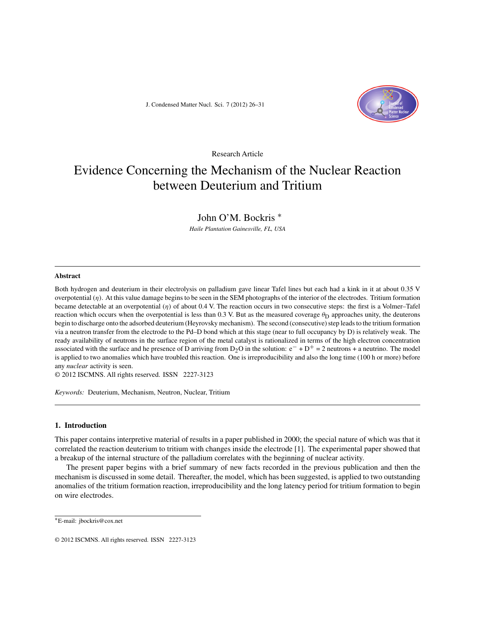J. Condensed Matter Nucl. Sci. 7 (2012) 26–31



Research Article

### Evidence Concerning the Mechanism of the Nuclear Reaction between Deuterium and Tritium

#### John O'M. Bockris ∗

*Haile Plantation Gainesville, FL, USA*

#### **Abstract**

Both hydrogen and deuterium in their electrolysis on palladium gave linear Tafel lines but each had a kink in it at about 0.35 V overpotential (η). At this value damage begins to be seen in the SEM photographs of the interior of the electrodes. Tritium formation became detectable at an overpotential  $(\eta)$  of about 0.4 V. The reaction occurs in two consecutive steps: the first is a Volmer–Tafel reaction which occurs when the overpotential is less than 0.3 V. But as the measured coverage  $\theta_D$  approaches unity, the deuterons begin to discharge onto the adsorbed deuterium (Heyrovsky mechanism). The second (consecutive) step leads to the tritium formation via a neutron transfer from the electrode to the Pd–D bond which at this stage (near to full occupancy by D) is relatively weak. The ready availability of neutrons in the surface region of the metal catalyst is rationalized in terms of the high electron concentration associated with the surface and he presence of D arriving from  $D_2O$  in the solution:  $e^- + D^+ = 2$  neutrons + a neutrino. The model is applied to two anomalies which have troubled this reaction. One is irreproducibility and also the long time (100 h or more) before any *nuclear* activity is seen.

© 2012 ISCMNS. All rights reserved. ISSN 2227-3123

*Keywords:* Deuterium, Mechanism, Neutron, Nuclear, Tritium

#### **1. Introduction**

This paper contains interpretive material of results in a paper published in 2000; the special nature of which was that it correlated the reaction deuterium to tritium with changes inside the electrode [1]. The experimental paper showed that a breakup of the internal structure of the palladium correlates with the beginning of nuclear activity.

The present paper begins with a brief summary of new facts recorded in the previous publication and then the mechanism is discussed in some detail. Thereafter, the model, which has been suggested, is applied to two outstanding anomalies of the tritium formation reaction, irreproducibility and the long latency period for tritium formation to begin on wire electrodes.

<sup>∗</sup>E-mail: jbockris@cox.net

<sup>© 2012</sup> ISCMNS. All rights reserved. ISSN 2227-3123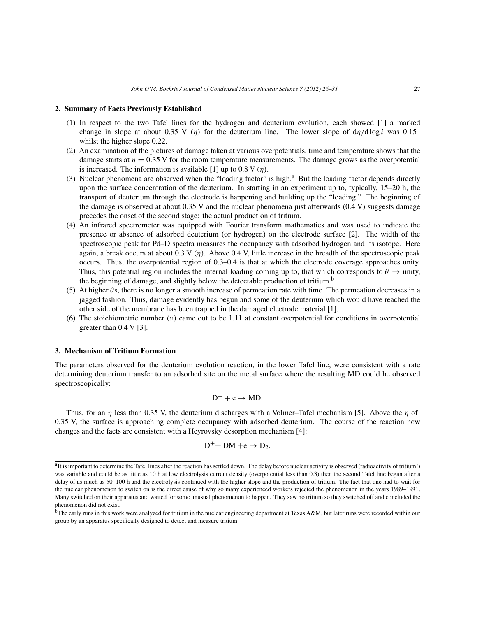#### **2. Summary of Facts Previously Established**

- (1) In respect to the two Tafel lines for the hydrogen and deuterium evolution, each showed [1] a marked change in slope at about 0.35 V (η) for the deuterium line. The lower slope of  $d\eta/d \log i$  was 0.15 whilst the higher slope 0.22.
- (2) An examination of the pictures of damage taken at various overpotentials, time and temperature shows that the damage starts at  $\eta = 0.35$  V for the room temperature measurements. The damage grows as the overpotential is increased. The information is available [1] up to 0.8 V  $(\eta)$ .
- (3) Nuclear phenomena are observed when the "loading factor" is high. $a$  But the loading factor depends directly upon the surface concentration of the deuterium. In starting in an experiment up to, typically, 15–20 h, the transport of deuterium through the electrode is happening and building up the "loading." The beginning of the damage is observed at about 0.35 V and the nuclear phenomena just afterwards (0.4 V) suggests damage precedes the onset of the second stage: the actual production of tritium.
- (4) An infrared spectrometer was equipped with Fourier transform mathematics and was used to indicate the presence or absence of adsorbed deuterium (or hydrogen) on the electrode surface [2]. The width of the spectroscopic peak for Pd–D spectra measures the occupancy with adsorbed hydrogen and its isotope. Here again, a break occurs at about  $0.3 V(\eta)$ . Above 0.4 V, little increase in the breadth of the spectroscopic peak occurs. Thus, the overpotential region of 0.3–0.4 is that at which the electrode coverage approaches unity. Thus, this potential region includes the internal loading coming up to, that which corresponds to  $\theta \to \text{unity}$ , the beginning of damage, and slightly below the detectable production of tritium.<sup>b</sup>
- (5) At higher  $\theta$ s, there is no longer a smooth increase of permeation rate with time. The permeation decreases in a jagged fashion. Thus, damage evidently has begun and some of the deuterium which would have reached the other side of the membrane has been trapped in the damaged electrode material [1].
- (6) The stoichiometric number  $(v)$  came out to be 1.11 at constant overpotential for conditions in overpotential greater than 0.4 V [3].

#### **3. Mechanism of Tritium Formation**

The parameters observed for the deuterium evolution reaction, in the lower Tafel line, were consistent with a rate determining deuterium transfer to an adsorbed site on the metal surface where the resulting MD could be observed spectroscopically:

$$
D^+ + e \rightarrow MD.
$$

Thus, for an  $\eta$  less than 0.35 V, the deuterium discharges with a Volmer–Tafel mechanism [5]. Above the  $\eta$  of 0.35 V, the surface is approaching complete occupancy with adsorbed deuterium. The course of the reaction now changes and the facts are consistent with a Heyrovsky desorption mechanism [4]:

$$
D^+ + DM + e \rightarrow D_2.
$$

<sup>&</sup>lt;sup>a</sup>It is important to determine the Tafel lines after the reaction has settled down. The delay before nuclear activity is observed (radioactivity of tritium!) was variable and could be as little as 10 h at low electrolysis current density (overpotential less than 0.3) then the second Tafel line began after a delay of as much as 50–100 h and the electrolysis continued with the higher slope and the production of tritium. The fact that one had to wait for the nuclear phenomenon to switch on is the direct cause of why so many experienced workers rejected the phenomenon in the years 1989–1991. Many switched on their apparatus and waited for some unusual phenomenon to happen. They saw no tritium so they switched off and concluded the phenomenon did not exist.

bThe early runs in this work were analyzed for tritium in the nuclear engineering department at Texas A&M, but later runs were recorded within our group by an apparatus specifically designed to detect and measure tritium.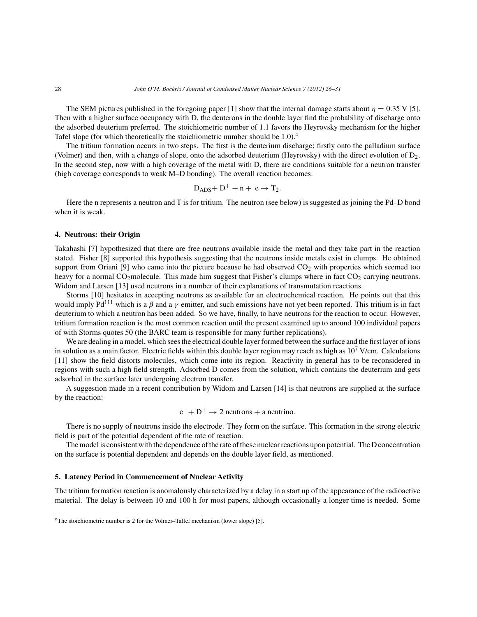The SEM pictures published in the foregoing paper [1] show that the internal damage starts about  $\eta = 0.35$  V [5]. Then with a higher surface occupancy with D, the deuterons in the double layer find the probability of discharge onto the adsorbed deuterium preferred. The stoichiometric number of 1.1 favors the Heyrovsky mechanism for the higher Tafel slope (for which theoretically the stoichiometric number should be  $1.0$ ).<sup>c</sup>

The tritium formation occurs in two steps. The first is the deuterium discharge; firstly onto the palladium surface (Volmer) and then, with a change of slope, onto the adsorbed deuterium (Heyrovsky) with the direct evolution of D2. In the second step, now with a high coverage of the metal with D, there are conditions suitable for a neutron transfer (high coverage corresponds to weak M–D bonding). The overall reaction becomes:

$$
D_{ADS} + D^{+} + n + e \rightarrow T_{2}.
$$

Here the n represents a neutron and T is for tritium. The neutron (see below) is suggested as joining the Pd–D bond when it is weak.

#### **4. Neutrons: their Origin**

Takahashi [7] hypothesized that there are free neutrons available inside the metal and they take part in the reaction stated. Fisher [8] supported this hypothesis suggesting that the neutrons inside metals exist in clumps. He obtained support from Oriani [9] who came into the picture because he had observed  $CO<sub>2</sub>$  with properties which seemed too heavy for a normal  $CO<sub>2</sub>$ molecule. This made him suggest that Fisher's clumps where in fact  $CO<sub>2</sub>$  carrying neutrons. Widom and Larsen [13] used neutrons in a number of their explanations of transmutation reactions.

Storms [10] hesitates in accepting neutrons as available for an electrochemical reaction. He points out that this would imply Pd<sup>111</sup> which is a  $\beta$  and a  $\gamma$  emitter, and such emissions have not yet been reported. This tritium is in fact deuterium to which a neutron has been added. So we have, finally, to have neutrons for the reaction to occur. However, tritium formation reaction is the most common reaction until the present examined up to around 100 individual papers of with Storms quotes 50 (the BARC team is responsible for many further replications).

We are dealing in a model, which sees the electrical double layer formed between the surface and the first layer of ions in solution as a main factor. Electric fields within this double layer region may reach as high as  $10<sup>7</sup>$  V/cm. Calculations [11] show the field distorts molecules, which come into its region. Reactivity in general has to be reconsidered in regions with such a high field strength. Adsorbed D comes from the solution, which contains the deuterium and gets adsorbed in the surface later undergoing electron transfer.

A suggestion made in a recent contribution by Widom and Larsen [14] is that neutrons are supplied at the surface by the reaction:

$$
e^- + D^+ \rightarrow 2
$$
 neutrons + a neutrino.

There is no supply of neutrons inside the electrode. They form on the surface. This formation in the strong electric field is part of the potential dependent of the rate of reaction.

The model is consistent with the dependence of the rate of these nuclear reactions upon potential. The D concentration on the surface is potential dependent and depends on the double layer field, as mentioned.

#### **5. Latency Period in Commencement of Nuclear Activity**

The tritium formation reaction is anomalously characterized by a delay in a start up of the appearance of the radioactive material. The delay is between 10 and 100 h for most papers, although occasionally a longer time is needed. Some

 $c$ <sup>c</sup>The stoichiometric number is 2 for the Volmer–Taffel mechanism (lower slope) [5].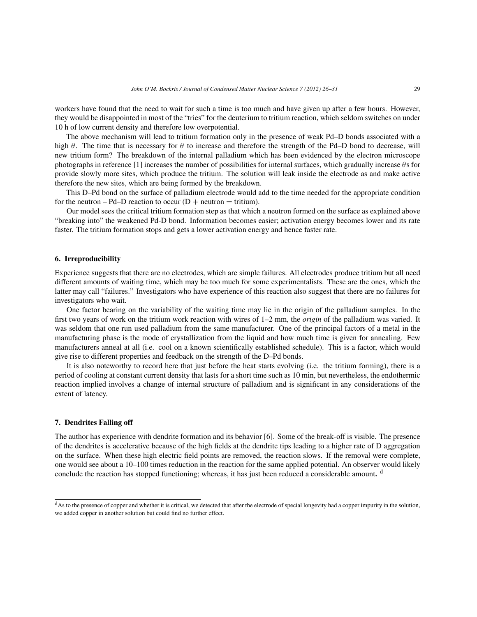workers have found that the need to wait for such a time is too much and have given up after a few hours. However, they would be disappointed in most of the "tries" for the deuterium to tritium reaction, which seldom switches on under 10 h of low current density and therefore low overpotential.

The above mechanism will lead to tritium formation only in the presence of weak Pd–D bonds associated with a high  $\theta$ . The time that is necessary for  $\theta$  to increase and therefore the strength of the Pd–D bond to decrease, will new tritium form? The breakdown of the internal palladium which has been evidenced by the electron microscope photographs in reference [1] increases the number of possibilities for internal surfaces, which gradually increase  $\theta$ s for provide slowly more sites, which produce the tritium. The solution will leak inside the electrode as and make active therefore the new sites, which are being formed by the breakdown.

This D–Pd bond on the surface of palladium electrode would add to the time needed for the appropriate condition for the neutron – Pd–D reaction to occur ( $D$  + neutron = tritium).

Our model sees the critical tritium formation step as that which a neutron formed on the surface as explained above "breaking into" the weakened Pd-D bond. Information becomes easier; activation energy becomes lower and its rate faster. The tritium formation stops and gets a lower activation energy and hence faster rate.

#### **6. Irreproducibility**

Experience suggests that there are no electrodes, which are simple failures. All electrodes produce tritium but all need different amounts of waiting time, which may be too much for some experimentalists. These are the ones, which the latter may call "failures." Investigators who have experience of this reaction also suggest that there are no failures for investigators who wait.

One factor bearing on the variability of the waiting time may lie in the origin of the palladium samples. In the first two years of work on the tritium work reaction with wires of 1–2 mm, the *origin* of the palladium was varied. It was seldom that one run used palladium from the same manufacturer. One of the principal factors of a metal in the manufacturing phase is the mode of crystallization from the liquid and how much time is given for annealing. Few manufacturers anneal at all (i.e. cool on a known scientifically established schedule). This is a factor, which would give rise to different properties and feedback on the strength of the D–Pd bonds.

It is also noteworthy to record here that just before the heat starts evolving (i.e. the tritium forming), there is a period of cooling at constant current density that lasts for a short time such as 10 min, but nevertheless, the endothermic reaction implied involves a change of internal structure of palladium and is significant in any considerations of the extent of latency.

#### **7. Dendrites Falling off**

The author has experience with dendrite formation and its behavior [6]. Some of the break-off is visible. The presence of the dendrites is accelerative because of the high fields at the dendrite tips leading to a higher rate of D aggregation on the surface. When these high electric field points are removed, the reaction slows. If the removal were complete, one would see about a 10–100 times reduction in the reaction for the same applied potential. An observer would likely conclude the reaction has stopped functioning; whereas, it has just been reduced a considerable amount**.** <sup>d</sup>

<sup>&</sup>lt;sup>d</sup>As to the presence of copper and whether it is critical, we detected that after the electrode of special longevity had a copper impurity in the solution, we added copper in another solution but could find no further effect.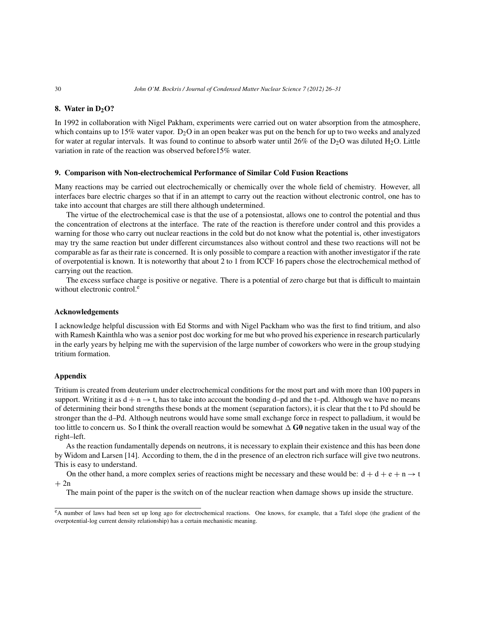#### **8.** Water in D<sub>2</sub>O?

In 1992 in collaboration with Nigel Pakham, experiments were carried out on water absorption from the atmosphere, which contains up to 15% water vapor.  $D_2O$  in an open beaker was put on the bench for up to two weeks and analyzed for water at regular intervals. It was found to continue to absorb water until 26% of the  $D_2O$  was diluted H<sub>2</sub>O. Little variation in rate of the reaction was observed before15% water.

#### **9. Comparison with Non-electrochemical Performance of Similar Cold Fusion Reactions**

Many reactions may be carried out electrochemically or chemically over the whole field of chemistry. However, all interfaces bare electric charges so that if in an attempt to carry out the reaction without electronic control, one has to take into account that charges are still there although undetermined.

The virtue of the electrochemical case is that the use of a potensiostat, allows one to control the potential and thus the concentration of electrons at the interface. The rate of the reaction is therefore under control and this provides a warning for those who carry out nuclear reactions in the cold but do not know what the potential is, other investigators may try the same reaction but under different circumstances also without control and these two reactions will not be comparable as far as their rate is concerned. It is only possible to compare a reaction with another investigator if the rate of overpotential is known. It is noteworthy that about 2 to 1 from ICCF 16 papers chose the electrochemical method of carrying out the reaction.

The excess surface charge is positive or negative. There is a potential of zero charge but that is difficult to maintain without electronic control.<sup>e</sup>

#### **Acknowledgements**

I acknowledge helpful discussion with Ed Storms and with Nigel Packham who was the first to find tritium, and also with Ramesh Kainthla who was a senior post doc working for me but who proved his experience in research particularly in the early years by helping me with the supervision of the large number of coworkers who were in the group studying tritium formation.

#### **Appendix**

Tritium is created from deuterium under electrochemical conditions for the most part and with more than 100 papers in support. Writing it as  $d + n \rightarrow t$ , has to take into account the bonding d–pd and the t–pd. Although we have no means of determining their bond strengths these bonds at the moment (separation factors), it is clear that the t to Pd should be stronger than the d–Pd. Although neutrons would have some small exchange force in respect to palladium, it would be too little to concern us. So I think the overall reaction would be somewhat  $\Delta$  G0 negative taken in the usual way of the right–left.

As the reaction fundamentally depends on neutrons, it is necessary to explain their existence and this has been done by Widom and Larsen [14]. According to them, the d in the presence of an electron rich surface will give two neutrons. This is easy to understand.

On the other hand, a more complex series of reactions might be necessary and these would be:  $d + d + e + n \rightarrow t$  $+ 2n$ 

The main point of the paper is the switch on of the nuclear reaction when damage shows up inside the structure.

eA number of laws had been set up long ago for electrochemical reactions. One knows, for example, that a Tafel slope (the gradient of the overpotential-log current density relationship) has a certain mechanistic meaning.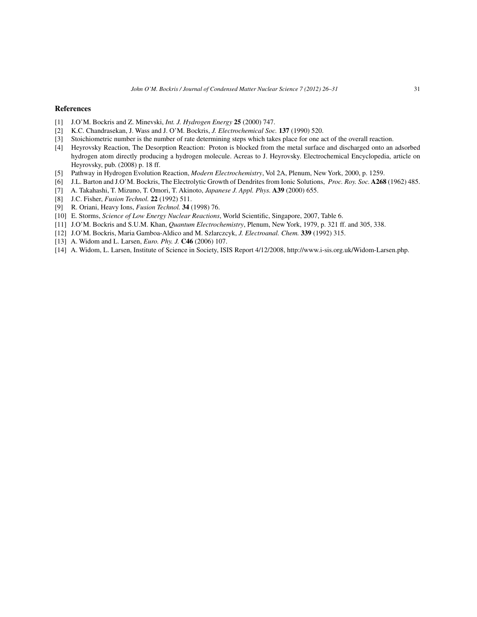#### **References**

- [1] J.O'M. Bockris and Z. Minevski, *Int. J. Hydrogen Energy* **25** (2000) 747.
- [2] K.C. Chandrasekan, J. Wass and J. O'M. Bockris, *J. Electrochemical Soc.* **137** (1990) 520.
- [3] Stoichiometric number is the number of rate determining steps which takes place for one act of the overall reaction.
- [4] Heyrovsky Reaction, The Desorption Reaction: Proton is blocked from the metal surface and discharged onto an adsorbed hydrogen atom directly producing a hydrogen molecule. Acreas to J. Heyrovsky. Electrochemical Encyclopedia, article on Heyrovsky, pub. (2008) p. 18 ff.
- [5] Pathway in Hydrogen Evolution Reaction, *Modern Electrochemistry*, Vol 2A, Plenum, New York, 2000, p. 1259.
- [6] J.L. Barton and J.O'M. Bockris, The Electrolytic Growth of Dendrites from Ionic Solutions, *Proc. Roy. Soc.* **A268** (1962) 485.
- [7] A. Takahashi, T. Mizuno, T. Omori, T. Akinoto, *Japanese J. Appl. Phys.* **A39** (2000) 655.
- [8] J.C. Fisher, *Fusion Technol.* **22** (1992) 511.
- [9] R. Oriani, Heavy Ions, *Fusion Technol.* **34** (1998) 76.
- [10] E. Storms, *Science of Low Energy Nuclear Reactions*, World Scientific, Singapore, 2007, Table 6.
- [11] J.O'M. Bockris and S.U.M. Khan, *Quantum Electrochemistry*, Plenum, New York, 1979, p. 321 ff. and 305, 338.
- [12] J.O'M. Bockris, Maria Gamboa-Aldico and M. Szlarczcyk, *J. Electroanal. Chem.* **339** (1992) 315.
- [13] A. Widom and L. Larsen, *Euro. Phy. J.* **C46** (2006) 107.
- [14] A. Widom, L. Larsen, Institute of Science in Society, ISIS Report 4/12/2008, http://www.i-sis.org.uk/Widom-Larsen.php.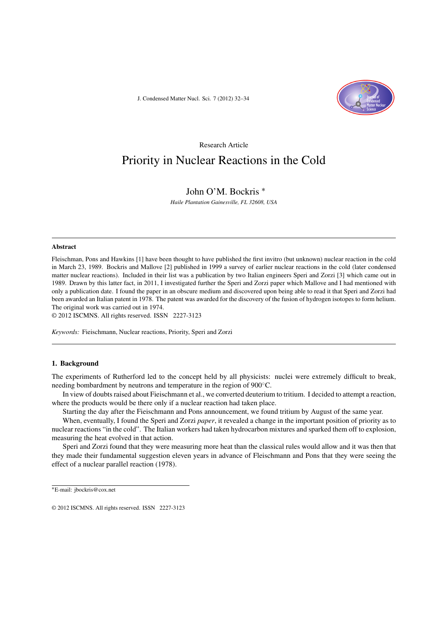J. Condensed Matter Nucl. Sci. 7 (2012) 32–34



Research Article

### Priority in Nuclear Reactions in the Cold

### John O'M. Bockris ∗

*Haile Plantation Gainesville, FL 32608, USA*

#### Abstract

Fleischman, Pons and Hawkins [1] have been thought to have published the first invitro (but unknown) nuclear reaction in the cold in March 23, 1989. Bockris and Mallove [2] published in 1999 a survey of earlier nuclear reactions in the cold (later condensed matter nuclear reactions). Included in their list was a publication by two Italian engineers Speri and Zorzi [3] which came out in 1989. Drawn by this latter fact, in 2011, I investigated further the Speri and Zorzi paper which Mallove and I had mentioned with only a publication date. I found the paper in an obscure medium and discovered upon being able to read it that Speri and Zorzi had been awarded an Italian patent in 1978. The patent was awarded for the discovery of the fusion of hydrogen isotopes to form helium. The original work was carried out in 1974.

© 2012 ISCMNS. All rights reserved. ISSN 2227-3123

*Keywords:* Fieischmann, Nuclear reactions, Priority, Speri and Zorzi

#### 1. Background

The experiments of Rutherford led to the concept held by all physicists: nuclei were extremely difficult to break, needing bombardment by neutrons and temperature in the region of 900<sup>°</sup>C.

In view of doubts raised about Fieischmann et al., we converted deuterium to tritium. I decided to attempt a reaction, where the products would be there only if a nuclear reaction had taken place.

Starting the day after the Fieischmann and Pons announcement, we found tritium by August of the same year.

When, eventually, I found the Speri and Zorzi *paper*, it revealed a change in the important position of priority as to nuclear reactions "in the cold". The Italian workers had taken hydrocarbon mixtures and sparked them off to explosion, measuring the heat evolved in that action.

Speri and Zorzi found that they were measuring more heat than the classical rules would allow and it was then that they made their fundamental suggestion eleven years in advance of Fleischmann and Pons that they were seeing the effect of a nuclear parallel reaction (1978).

<sup>∗</sup>E-mail: jbockris@cox.net

<sup>© 2012</sup> ISCMNS. All rights reserved. ISSN 2227-3123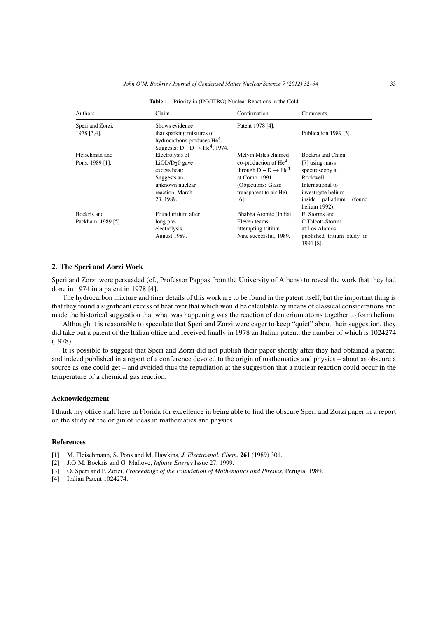| Authors                         | Claim                                                                                                                      | Confirmation                                                                                                                             | Comments                                                                                                                                |
|---------------------------------|----------------------------------------------------------------------------------------------------------------------------|------------------------------------------------------------------------------------------------------------------------------------------|-----------------------------------------------------------------------------------------------------------------------------------------|
| Speri and Zorzi,<br>1978 [3,4]. | Shows evidence<br>that sparking mixtures of<br>hydrocarbons produces $He4$ .<br>Suggests: $D + D \rightarrow He^4$ , 1974. | Patent 1978 [4].                                                                                                                         | Publication 1989 [3].                                                                                                                   |
| Fleischman and                  | Electrolysis of                                                                                                            | Melvin Miles claimed                                                                                                                     | Bockris and Chien                                                                                                                       |
| Pons, 1989 [1].                 | $LiOD/D20$ gave<br>excess heat:<br>Suggests an<br>unknown nuclear<br>reaction, March<br>23, 1989.                          | co-production of $He4$<br>through $D + D \rightarrow He^4$<br>at Como, 1991.<br>(Objections: Glass)<br>transparent to air He)<br>$[6]$ . | [7] using mass<br>spectroscopy at<br>Rockwell<br>International to<br>investigate helium<br>inside palladium<br>(found)<br>helium 1992). |
| Bockris and                     | Found tritium after                                                                                                        | Bhabha Atomic (India).                                                                                                                   | E. Storms and                                                                                                                           |
| Packham, 1989 [5].              | long pre-<br>electrolysis,<br><b>August 1989.</b>                                                                          | Eleven teams<br>attempting tritium.<br>Nine successful, 1989.                                                                            | C.Talcott-Storms<br>at Los Alamos<br>published tritium study in<br>1991 [8].                                                            |

Table 1. Priority in (INVITRO) Nuclear Reactions in the Cold

#### 2. The Speri and Zorzi Work

Speri and Zorzi were persuaded (cf., Professor Pappas from the University of Athens) to reveal the work that they had done in 1974 in a patent in 1978 [4].

The hydrocarbon mixture and finer details of this work are to be found in the patent itself, but the important thing is that they found a significant excess of heat over that which would be calculable by means of classical considerations and made the historical suggestion that what was happening was the reaction of deuterium atoms together to form helium.

Although it is reasonable to speculate that Speri and Zorzi were eager to keep "quiet" about their suggestion, they did take out a patent of the Italian office and received finally in 1978 an Italian patent, the number of which is 1024274 (1978).

It is possible to suggest that Speri and Zorzi did not publish their paper shortly after they had obtained a patent, and indeed published in a report of a conference devoted to the origin of mathematics and physics – about as obscure a source as one could get – and avoided thus the repudiation at the suggestion that a nuclear reaction could occur in the temperature of a chemical gas reaction.

#### Acknowledgement

I thank my office staff here in Florida for excellence in being able to find the obscure Speri and Zorzi paper in a report on the study of the origin of ideas in mathematics and physics.

#### References

- [1] M. Fleischmann, S. Pons and M. Hawkins, *J. Electroanal. Chem.* 261 (1989) 301.
- [2] J.O'M. Bockris and G. Mallove, *Infinite Energy* Issue 27, 1999.
- [3] O. Speri and P. Zorzi, *Proceedings of the Foundation of Mathematics and Physics*, Perugia, 1989.
- [4] Italian Patent 1024274.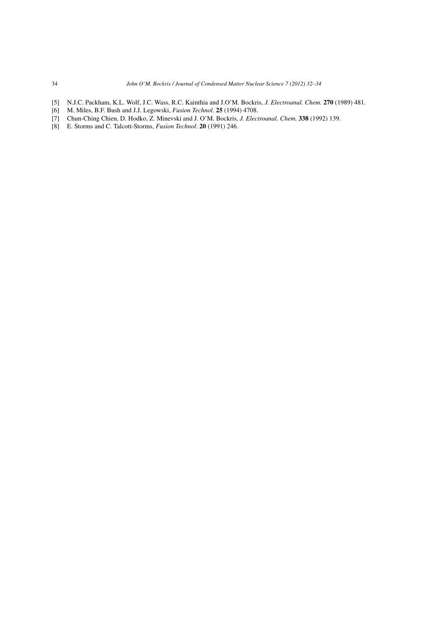- [5] N.J.C. Packham, K.L. Wolf, J.C. Wass, R.C. Kainthia and J.O'M. Bockris, *J. Electroanal. Chem.* 270 (1989) 481.
- [6] M. Miles, B.F. Bush and J.J. Legowski, *Fusion Technol.* 25 (1994) 4708.
- [7] Chun-Ching Chien, D. Hodko, Z. Minevski and J. O'M. Bockris, *J. Electroanal. Chem.* 338 (1992) 139.
- [8] E. Storms and C. Talcott-Storms, *Fusion Technol*. 20 (1991) 246.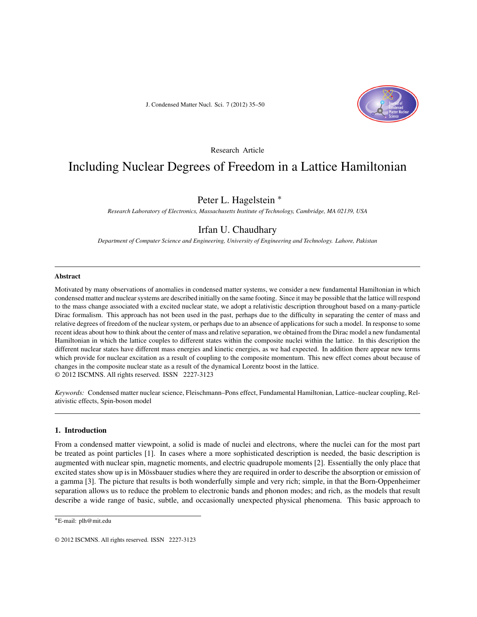J. Condensed Matter Nucl. Sci. 7 (2012) 35–50



#### Research Article

### Including Nuclear Degrees of Freedom in a Lattice Hamiltonian

#### Peter L. Hagelstein ∗

*Research Laboratory of Electronics, Massachusetts Institute of Technology, Cambridge, MA 02139, USA*

#### Irfan U. Chaudhary

*Department of Computer Science and Engineering, University of Engineering and Technology. Lahore, Pakistan*

#### **Abstract**

Motivated by many observations of anomalies in condensed matter systems, we consider a new fundamental Hamiltonian in which condensed matter and nuclear systems are described initially on the same footing. Since it may be possible that the lattice will respond to the mass change associated with a excited nuclear state, we adopt a relativistic description throughout based on a many-particle Dirac formalism. This approach has not been used in the past, perhaps due to the difficulty in separating the center of mass and relative degrees of freedom of the nuclear system, or perhaps due to an absence of applications for such a model. In response to some recent ideas about how to think about the center of mass and relative separation, we obtained from the Dirac model a new fundamental Hamiltonian in which the lattice couples to different states within the composite nuclei within the lattice. In this description the different nuclear states have different mass energies and kinetic energies, as we had expected. In addition there appear new terms which provide for nuclear excitation as a result of coupling to the composite momentum. This new effect comes about because of changes in the composite nuclear state as a result of the dynamical Lorentz boost in the lattice. © 2012 ISCMNS. All rights reserved. ISSN 2227-3123

*Keywords:* Condensed matter nuclear science, Fleischmann–Pons effect, Fundamental Hamiltonian, Lattice–nuclear coupling, Relativistic effects, Spin-boson model

#### **1. Introduction**

From a condensed matter viewpoint, a solid is made of nuclei and electrons, where the nuclei can for the most part be treated as point particles [1]. In cases where a more sophisticated description is needed, the basic description is augmented with nuclear spin, magnetic moments, and electric quadrupole moments [2]. Essentially the only place that excited states show up is in Mössbauer studies where they are required in order to describe the absorption or emission of a gamma [3]. The picture that results is both wonderfully simple and very rich; simple, in that the Born-Oppenheimer separation allows us to reduce the problem to electronic bands and phonon modes; and rich, as the models that result describe a wide range of basic, subtle, and occasionally unexpected physical phenomena. This basic approach to

<sup>∗</sup>E-mail: plh@mit.edu

<sup>© 2012</sup> ISCMNS. All rights reserved. ISSN 2227-3123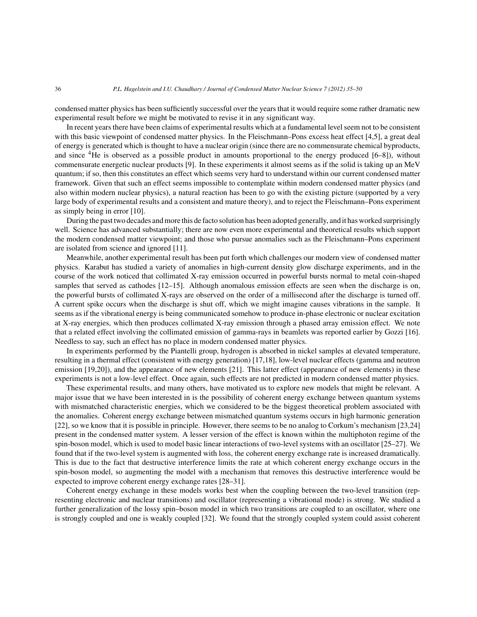condensed matter physics has been sufficiently successful over the years that it would require some rather dramatic new experimental result before we might be motivated to revise it in any significant way.

In recent years there have been claims of experimental results which at a fundamental level seem not to be consistent with this basic viewpoint of condensed matter physics. In the Fleischmann–Pons excess heat effect [4,5], a great deal of energy is generated which is thought to have a nuclear origin (since there are no commensurate chemical byproducts, and since 4He is observed as a possible product in amounts proportional to the energy produced [6–8]), without commensurate energetic nuclear products [9]. In these experiments it almost seems as if the solid is taking up an MeV quantum; if so, then this constitutes an effect which seems very hard to understand within our current condensed matter framework. Given that such an effect seems impossible to contemplate within modern condensed matter physics (and also within modern nuclear physics), a natural reaction has been to go with the existing picture (supported by a very large body of experimental results and a consistent and mature theory), and to reject the Fleischmann–Pons experiment as simply being in error [10].

During the past two decades and more this de facto solution has been adopted generally, and it has worked surprisingly well. Science has advanced substantially; there are now even more experimental and theoretical results which support the modern condensed matter viewpoint; and those who pursue anomalies such as the Fleischmann–Pons experiment are isolated from science and ignored [11].

Meanwhile, another experimental result has been put forth which challenges our modern view of condensed matter physics. Karabut has studied a variety of anomalies in high-current density glow discharge experiments, and in the course of the work noticed that collimated X-ray emission occurred in powerful bursts normal to metal coin-shaped samples that served as cathodes [12–15]. Although anomalous emission effects are seen when the discharge is on, the powerful bursts of collimated X-rays are observed on the order of a millisecond after the discharge is turned off. A current spike occurs when the discharge is shut off, which we might imagine causes vibrations in the sample. It seems as if the vibrational energy is being communicated somehow to produce in-phase electronic or nuclear excitation at X-ray energies, which then produces collimated X-ray emission through a phased array emission effect. We note that a related effect involving the collimated emission of gamma-rays in beamlets was reported earlier by Gozzi [16]. Needless to say, such an effect has no place in modern condensed matter physics.

In experiments performed by the Piantelli group, hydrogen is absorbed in nickel samples at elevated temperature, resulting in a thermal effect (consistent with energy generation) [17,18], low-level nuclear effects (gamma and neutron emission [19,20]), and the appearance of new elements [21]. This latter effect (appearance of new elements) in these experiments is not a low-level effect. Once again, such effects are not predicted in modern condensed matter physics.

These experimental results, and many others, have motivated us to explore new models that might be relevant. A major issue that we have been interested in is the possibility of coherent energy exchange between quantum systems with mismatched characteristic energies, which we considered to be the biggest theoretical problem associated with the anomalies. Coherent energy exchange between mismatched quantum systems occurs in high harmonic generation [22], so we know that it is possible in principle. However, there seems to be no analog to Corkum's mechanism [23,24] present in the condensed matter system. A lesser version of the effect is known within the multiphoton regime of the spin-boson model, which is used to model basic linear interactions of two-level systems with an oscillator [25–27]. We found that if the two-level system is augmented with loss, the coherent energy exchange rate is increased dramatically. This is due to the fact that destructive interference limits the rate at which coherent energy exchange occurs in the spin-boson model, so augmenting the model with a mechanism that removes this destructive interference would be expected to improve coherent energy exchange rates [28–31].

Coherent energy exchange in these models works best when the coupling between the two-level transition (representing electronic and nuclear transitions) and oscillator (representing a vibrational mode) is strong. We studied a further generalization of the lossy spin–boson model in which two transitions are coupled to an oscillator, where one is strongly coupled and one is weakly coupled [32]. We found that the strongly coupled system could assist coherent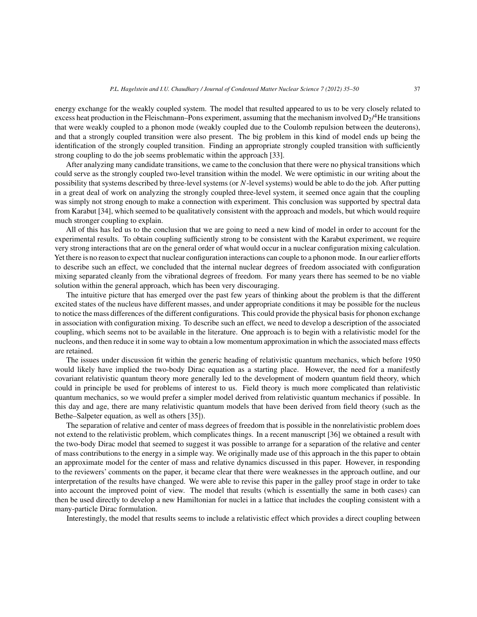energy exchange for the weakly coupled system. The model that resulted appeared to us to be very closely related to excess heat production in the Fleischmann–Pons experiment, assuming that the mechanism involved  $D_2$ /<sup>4</sup>He transitions that were weakly coupled to a phonon mode (weakly coupled due to the Coulomb repulsion between the deuterons), and that a strongly coupled transition were also present. The big problem in this kind of model ends up being the identification of the strongly coupled transition. Finding an appropriate strongly coupled transition with sufficiently strong coupling to do the job seems problematic within the approach [33].

After analyzing many candidate transitions, we came to the conclusion that there were no physical transitions which could serve as the strongly coupled two-level transition within the model. We were optimistic in our writing about the possibility that systems described by three-level systems (or N-level systems) would be able to do the job. After putting in a great deal of work on analyzing the strongly coupled three-level system, it seemed once again that the coupling was simply not strong enough to make a connection with experiment. This conclusion was supported by spectral data from Karabut [34], which seemed to be qualitatively consistent with the approach and models, but which would require much stronger coupling to explain.

All of this has led us to the conclusion that we are going to need a new kind of model in order to account for the experimental results. To obtain coupling sufficiently strong to be consistent with the Karabut experiment, we require very strong interactions that are on the general order of what would occur in a nuclear configuration mixing calculation. Yet there is no reason to expect that nuclear configuration interactions can couple to a phonon mode. In our earlier efforts to describe such an effect, we concluded that the internal nuclear degrees of freedom associated with configuration mixing separated cleanly from the vibrational degrees of freedom. For many years there has seemed to be no viable solution within the general approach, which has been very discouraging.

The intuitive picture that has emerged over the past few years of thinking about the problem is that the different excited states of the nucleus have different masses, and under appropriate conditions it may be possible for the nucleus to notice the mass differences of the different configurations. This could provide the physical basis for phonon exchange in association with configuration mixing. To describe such an effect, we need to develop a description of the associated coupling, which seems not to be available in the literature. One approach is to begin with a relativistic model for the nucleons, and then reduce it in some way to obtain a low momentum approximation in which the associated mass effects are retained.

The issues under discussion fit within the generic heading of relativistic quantum mechanics, which before 1950 would likely have implied the two-body Dirac equation as a starting place. However, the need for a manifestly covariant relativistic quantum theory more generally led to the development of modern quantum field theory, which could in principle be used for problems of interest to us. Field theory is much more complicated than relativistic quantum mechanics, so we would prefer a simpler model derived from relativistic quantum mechanics if possible. In this day and age, there are many relativistic quantum models that have been derived from field theory (such as the Bethe–Salpeter equation, as well as others [35]).

The separation of relative and center of mass degrees of freedom that is possible in the nonrelativistic problem does not extend to the relativistic problem, which complicates things. In a recent manuscript [36] we obtained a result with the two-body Dirac model that seemed to suggest it was possible to arrange for a separation of the relative and center of mass contributions to the energy in a simple way. We originally made use of this approach in the this paper to obtain an approximate model for the center of mass and relative dynamics discussed in this paper. However, in responding to the reviewers' comments on the paper, it became clear that there were weaknesses in the approach outline, and our interpretation of the results have changed. We were able to revise this paper in the galley proof stage in order to take into account the improved point of view. The model that results (which is essentially the same in both cases) can then be used directly to develop a new Hamiltonian for nuclei in a lattice that includes the coupling consistent with a many-particle Dirac formulation.

Interestingly, the model that results seems to include a relativistic effect which provides a direct coupling between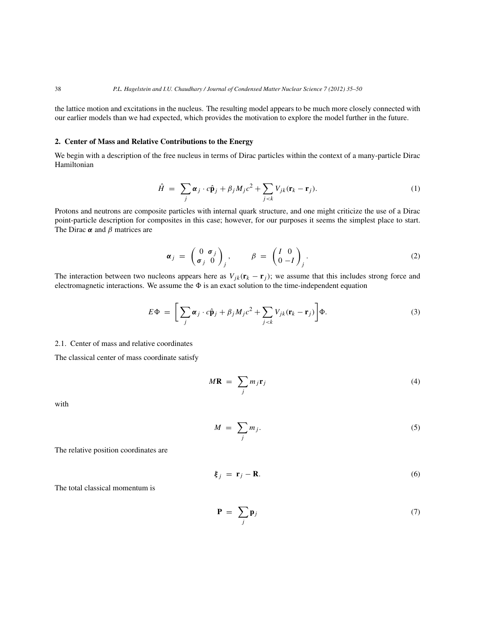the lattice motion and excitations in the nucleus. The resulting model appears to be much more closely connected with our earlier models than we had expected, which provides the motivation to explore the model further in the future.

#### **2. Center of Mass and Relative Contributions to the Energy**

We begin with a description of the free nucleus in terms of Dirac particles within the context of a many-particle Dirac Hamiltonian

$$
\hat{H} = \sum_{j} \alpha_{j} \cdot c \hat{\mathbf{p}}_{j} + \beta_{j} M_{j} c^{2} + \sum_{j < k} V_{jk} (\mathbf{r}_{k} - \mathbf{r}_{j}). \tag{1}
$$

Protons and neutrons are composite particles with internal quark structure, and one might criticize the use of a Dirac point-particle description for composites in this case; however, for our purposes it seems the simplest place to start. The Dirac *α* and β matrices are

$$
\boldsymbol{\alpha}_j \ = \ \begin{pmatrix} 0 & \sigma_j \\ \sigma_j & 0 \end{pmatrix}_j, \qquad \beta \ = \ \begin{pmatrix} I & 0 \\ 0 & -I \end{pmatrix}_j. \tag{2}
$$

The interaction between two nucleons appears here as  $V_{jk}(\mathbf{r}_k - \mathbf{r}_j)$ ; we assume that this includes strong force and electromagnetic interactions. We assume the  $\Phi$  is an exact solution to the time-independent equation

$$
E\Phi = \left[\sum_{j} \alpha_{j} \cdot c\hat{\mathbf{p}}_{j} + \beta_{j} M_{j} c^{2} + \sum_{j < k} V_{jk} (\mathbf{r}_{k} - \mathbf{r}_{j})\right] \Phi. \tag{3}
$$

#### 2.1. Center of mass and relative coordinates

The classical center of mass coordinate satisfy

$$
M\mathbf{R} = \sum_{j} m_{j} \mathbf{r}_{j} \tag{4}
$$

with

$$
M = \sum_{j} m_{j}.
$$
 (5)

The relative position coordinates are

$$
\boldsymbol{\xi}_j = \mathbf{r}_j - \mathbf{R}.\tag{6}
$$

The total classical momentum is

$$
\mathbf{P} = \sum_{j} \mathbf{p}_{j} \tag{7}
$$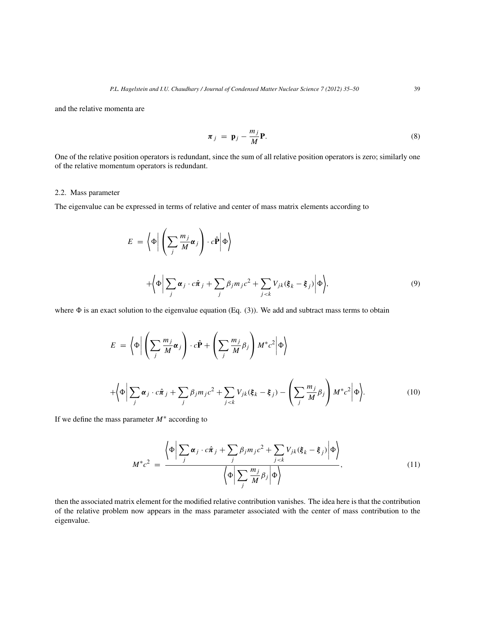and the relative momenta are

$$
\boldsymbol{\pi}_j = \mathbf{p}_j - \frac{m_j}{M} \mathbf{P}.
$$
 (8)

One of the relative position operators is redundant, since the sum of all relative position operators is zero; similarly one of the relative momentum operators is redundant.

#### 2.2. Mass parameter

The eigenvalue can be expressed in terms of relative and center of mass matrix elements according to

$$
E = \left\langle \Phi \middle| \left( \sum_{j} \frac{m_{j}}{M} \alpha_{j} \right) \cdot c \hat{\mathbf{P}} \middle| \Phi \right\rangle
$$
  
+ 
$$
\left\langle \Phi \middle| \sum_{j} \alpha_{j} \cdot c \hat{\pi}_{j} + \sum_{j} \beta_{j} m_{j} c^{2} + \sum_{j < k} V_{jk} (\xi_{k} - \xi_{j}) \middle| \Phi \right\rangle, \tag{9}
$$

where  $\Phi$  is an exact solution to the eigenvalue equation (Eq. (3)). We add and subtract mass terms to obtain

$$
E = \left\langle \Phi \middle| \left( \sum_{j} \frac{m_{j}}{M} \alpha_{j} \right) \cdot c \hat{\mathbf{P}} + \left( \sum_{j} \frac{m_{j}}{M} \beta_{j} \right) M^{*} c^{2} \middle| \Phi \right\rangle
$$
  
+ 
$$
\left\langle \Phi \middle| \sum_{j} \alpha_{j} \cdot c \hat{\pi}_{j} + \sum_{j} \beta_{j} m_{j} c^{2} + \sum_{j < k} V_{jk} (\xi_{k} - \xi_{j}) - \left( \sum_{j} \frac{m_{j}}{M} \beta_{j} \right) M^{*} c^{2} \middle| \Phi \right\rangle. \tag{10}
$$

If we define the mass parameter  $M^*$  according to

$$
M^*c^2 = \frac{\left\langle \Phi \bigg| \sum_j \alpha_j \cdot c\hat{\pi}_j + \sum_j \beta_j m_j c^2 + \sum_{j < k} V_{jk} (\xi_k - \xi_j) \bigg| \Phi \right\rangle}{\left\langle \Phi \bigg| \sum_j \frac{m_j}{M} \beta_j \bigg| \Phi \right\rangle},\tag{11}
$$

then the associated matrix element for the modified relative contribution vanishes. The idea here is that the contribution of the relative problem now appears in the mass parameter associated with the center of mass contribution to the eigenvalue.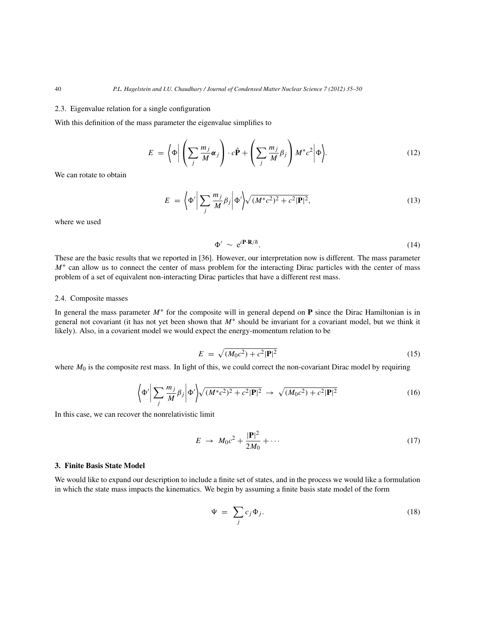#### 2.3. Eigenvalue relation for a single configuration

With this definition of the mass parameter the eigenvalue simplifies to

$$
E = \left\langle \Phi \middle| \left( \sum_{j} \frac{m_j}{M} \alpha_j \right) \cdot c \hat{\mathbf{P}} + \left( \sum_{j} \frac{m_j}{M} \beta_j \right) M^* c^2 \middle| \Phi \right\rangle. \tag{12}
$$

We can rotate to obtain

$$
E = \left\langle \Phi' \middle| \sum_{j} \frac{m_j}{M} \beta_j \middle| \Phi' \right\rangle \sqrt{(M^* c^2)^2 + c^2 |\mathbf{P}|^2},\tag{13}
$$

where we used

$$
\Phi' \sim e^{i\mathbf{P}\cdot\mathbf{R}/\hbar}.\tag{14}
$$

These are the basic results that we reported in [36]. However, our interpretation now is different. The mass parameter M<sup>∗</sup> can allow us to connect the center of mass problem for the interacting Dirac particles with the center of mass problem of a set of equivalent non-interacting Dirac particles that have a different rest mass.

#### 2.4. Composite masses

In general the mass parameter M∗ for the composite will in general depend on **P** since the Dirac Hamiltonian is in general not covariant (it has not yet been shown that  $M^*$  should be invariant for a covariant model, but we think it likely). Also, in a covarient model we would expect the energy-momentum relation to be

$$
E = \sqrt{(M_0 c^2) + c^2 |\mathbf{P}|^2} \tag{15}
$$

where  $M_0$  is the composite rest mass. In light of this, we could correct the non-covariant Dirac model by requiring

$$
\left\langle \Phi' \right| \sum_{j} \frac{m_j}{M} \beta_j \left| \Phi' \right\rangle \sqrt{(M^* c^2)^2 + c^2 |\mathbf{P}|^2} \rightarrow \sqrt{(M_0 c^2) + c^2 |\mathbf{P}|^2}
$$
\n(16)

In this case, we can recover the nonrelativistic limit

$$
E \rightarrow M_0 c^2 + \frac{|\mathbf{P}|^2}{2M_0} + \cdots \tag{17}
$$

#### **3. Finite Basis State Model**

We would like to expand our description to include a finite set of states, and in the process we would like a formulation in which the state mass impacts the kinematics. We begin by assuming a finite basis state model of the form

$$
\Psi = \sum_{j} c_j \Phi_j. \tag{18}
$$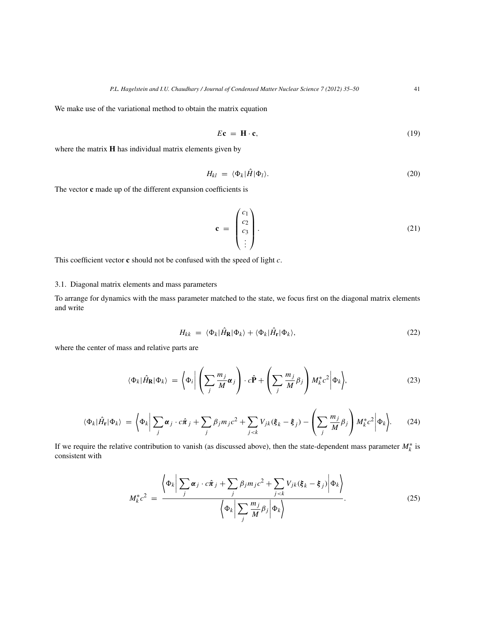We make use of the variational method to obtain the matrix equation

$$
E\mathbf{c} = \mathbf{H} \cdot \mathbf{c},\tag{19}
$$

where the matrix **H** has individual matrix elements given by

$$
H_{kl} = \langle \Phi_k | \hat{H} | \Phi_l \rangle. \tag{20}
$$

The vector **c** made up of the different expansion coefficients is

$$
\mathbf{c} = \begin{pmatrix} c_1 \\ c_2 \\ c_3 \\ \vdots \end{pmatrix} . \tag{21}
$$

This coefficient vector **c** should not be confused with the speed of light c.

#### 3.1. Diagonal matrix elements and mass parameters

To arrange for dynamics with the mass parameter matched to the state, we focus first on the diagonal matrix elements and write

$$
H_{kk} = \langle \Phi_k | \hat{H}_{\mathbf{R}} | \Phi_k \rangle + \langle \Phi_k | \hat{H}_{\mathbf{r}} | \Phi_k \rangle, \tag{22}
$$

where the center of mass and relative parts are

$$
\langle \Phi_k | \hat{H}_{\mathbf{R}} | \Phi_k \rangle = \left\langle \Phi_i \middle| \left( \sum_j \frac{m_j}{M} \alpha_j \right) \cdot c \hat{\mathbf{P}} + \left( \sum_j \frac{m_j}{M} \beta_j \right) M_k^* c^2 \middle| \Phi_k \right\rangle, \tag{23}
$$

$$
\langle \Phi_k | \hat{H}_{\mathbf{r}} | \Phi_k \rangle = \left\langle \Phi_k \middle| \sum_j \alpha_j \cdot c \hat{\pi}_j + \sum_j \beta_j m_j c^2 + \sum_{j < k} V_{jk} (\xi_k - \xi_j) - \left( \sum_j \frac{m_j}{M} \beta_j \right) M_k^* c^2 \middle| \Phi_k \right\rangle. \tag{24}
$$

If we require the relative contribution to vanish (as discussed above), then the state-dependent mass parameter  $M_k^*$  is consistent with

$$
M_{k}^{*}c^{2} = \frac{\left\langle \Phi_{k} \middle| \sum_{j} \alpha_{j} \cdot c\hat{\pi}_{j} + \sum_{j} \beta_{j} m_{j} c^{2} + \sum_{j < k} V_{jk} (\xi_{k} - \xi_{j}) \middle| \Phi_{k} \right\rangle}{\left\langle \Phi_{k} \middle| \sum_{j} \frac{m_{j}}{M} \beta_{j} \middle| \Phi_{k} \right\rangle}.
$$
\n(25)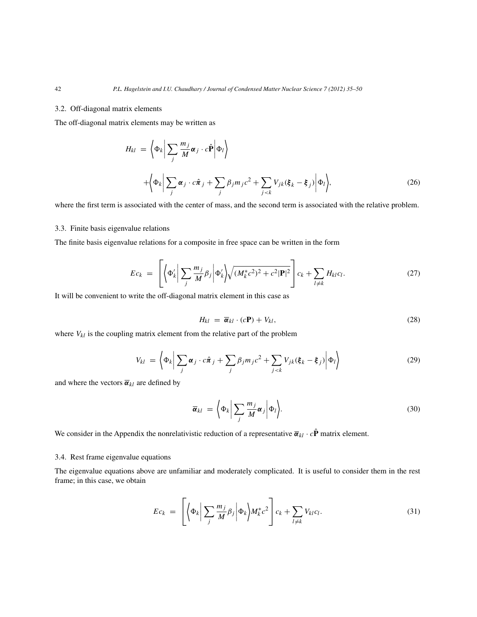#### 3.2. Off-diagonal matrix elements

The off-diagonal matrix elements may be written as

$$
H_{kl} = \left\langle \Phi_k \middle| \sum_j \frac{m_j}{M} \alpha_j \cdot c \hat{\mathbf{P}} \middle| \Phi_l \right\rangle
$$
  
+ 
$$
\left\langle \Phi_k \middle| \sum_j \alpha_j \cdot c \hat{\pi}_j + \sum_j \beta_j m_j c^2 + \sum_{j < k} V_{jk} (\xi_k - \xi_j) \middle| \Phi_l \right\rangle, \tag{26}
$$

where the first term is associated with the center of mass, and the second term is associated with the relative problem.

#### 3.3. Finite basis eigenvalue relations

The finite basis eigenvalue relations for a composite in free space can be written in the form

$$
Ec_k = \left[ \left\langle \Phi'_k \middle| \sum_j \frac{m_j}{M} \beta_j \middle| \Phi'_k \right\rangle \sqrt{(M_k^* c^2)^2 + c^2 |\mathbf{P}|^2} \right] c_k + \sum_{l \neq k} H_{kl} c_l. \tag{27}
$$

It will be convenient to write the off-diagonal matrix element in this case as

$$
H_{kl} = \overline{\alpha}_{kl} \cdot (c\mathbf{P}) + V_{kl}, \tag{28}
$$

where  $V_{kl}$  is the coupling matrix element from the relative part of the problem

$$
V_{kl} = \left\langle \Phi_k \middle| \sum_j \alpha_j \cdot c \hat{\pi}_j + \sum_j \beta_j m_j c^2 + \sum_{j < k} V_{jk} (\xi_k - \xi_j) \middle| \Phi_l \right\rangle \tag{29}
$$

and where the vectors  $\bar{\boldsymbol{\alpha}}_{kl}$  are defined by

$$
\overline{\boldsymbol{\alpha}}_{kl} = \left\langle \Phi_k \middle| \sum_j \frac{m_j}{M} \boldsymbol{\alpha}_j \middle| \Phi_l \right\rangle. \tag{30}
$$

We consider in the Appendix the nonrelativistic reduction of a representative  $\vec{\alpha}_{kl} \cdot c\hat{P}$  matrix element.

#### 3.4. Rest frame eigenvalue equations

The eigenvalue equations above are unfamiliar and moderately complicated. It is useful to consider them in the rest frame; in this case, we obtain

$$
Ec_k = \left[ \left\langle \Phi_k \middle| \sum_j \frac{m_j}{M} \beta_j \middle| \Phi_k \right\rangle M_k^* c^2 \right] c_k + \sum_{l \neq k} V_{kl} c_l. \tag{31}
$$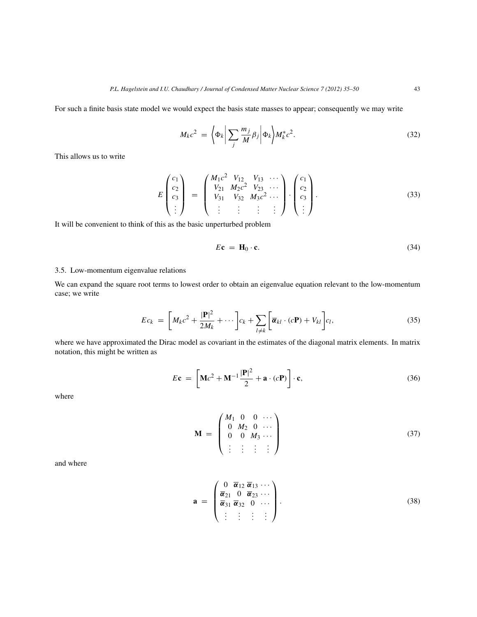For such a finite basis state model we would expect the basis state masses to appear; consequently we may write

$$
M_k c^2 = \left\langle \Phi_k \middle| \sum_j \frac{m_j}{M} \beta_j \middle| \Phi_k \right\rangle M_k^* c^2.
$$
 (32)

This allows us to write

$$
E\begin{pmatrix} c_1 \\ c_2 \\ c_3 \\ \vdots \end{pmatrix} = \begin{pmatrix} M_1 c^2 & V_{12} & V_{13} & \cdots \\ V_{21} & M_2 c^2 & V_{23} & \cdots \\ V_{31} & V_{32} & M_3 c^2 & \cdots \\ \vdots & \vdots & \vdots & \vdots \end{pmatrix} \cdot \begin{pmatrix} c_1 \\ c_2 \\ c_3 \\ \vdots \end{pmatrix}.
$$
 (33)

It will be convenient to think of this as the basic unperturbed problem

$$
E\mathbf{c} = \mathbf{H}_0 \cdot \mathbf{c}.\tag{34}
$$

#### 3.5. Low-momentum eigenvalue relations

We can expand the square root terms to lowest order to obtain an eigenvalue equation relevant to the low-momentum case; we write

$$
Ec_k = \left[ M_k c^2 + \frac{|\mathbf{P}|^2}{2M_k} + \cdots \right] c_k + \sum_{l \neq k} \left[ \overline{\boldsymbol{\alpha}}_{kl} \cdot (c\mathbf{P}) + V_{kl} \right] c_l,
$$
 (35)

where we have approximated the Dirac model as covariant in the estimates of the diagonal matrix elements. In matrix notation, this might be written as

$$
E\mathbf{c} = \left[\mathbf{M}c^2 + \mathbf{M}^{-1}\frac{|\mathbf{P}|^2}{2} + \mathbf{a} \cdot (c\mathbf{P})\right] \cdot \mathbf{c},\tag{36}
$$

where

$$
\mathbf{M} = \begin{pmatrix} M_1 & 0 & 0 & \cdots \\ 0 & M_2 & 0 & \cdots \\ 0 & 0 & M_3 & \cdots \\ \vdots & \vdots & \vdots & \vdots \end{pmatrix}
$$
 (37)

and where

$$
\mathbf{a} = \begin{pmatrix} 0 & \overline{\alpha}_{12} & \overline{\alpha}_{13} & \cdots \\ \overline{\alpha}_{21} & 0 & \overline{\alpha}_{23} & \cdots \\ \overline{\alpha}_{31} & \overline{\alpha}_{32} & 0 & \cdots \\ \vdots & \vdots & \vdots & \vdots \end{pmatrix}.
$$
 (38)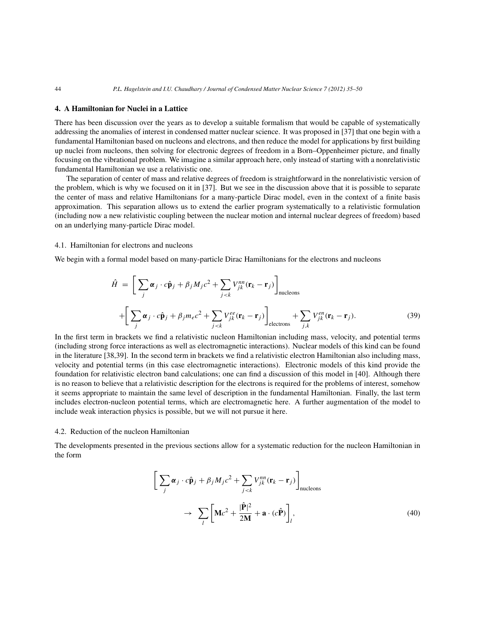#### **4. A Hamiltonian for Nuclei in a Lattice**

There has been discussion over the years as to develop a suitable formalism that would be capable of systematically addressing the anomalies of interest in condensed matter nuclear science. It was proposed in [37] that one begin with a fundamental Hamiltonian based on nucleons and electrons, and then reduce the model for applications by first building up nuclei from nucleons, then solving for electronic degrees of freedom in a Born–Oppenheimer picture, and finally focusing on the vibrational problem. We imagine a similar approach here, only instead of starting with a nonrelativistic fundamental Hamiltonian we use a relativistic one.

The separation of center of mass and relative degrees of freedom is straightforward in the nonrelativistic version of the problem, which is why we focused on it in [37]. But we see in the discussion above that it is possible to separate the center of mass and relative Hamiltonians for a many-particle Dirac model, even in the context of a finite basis approximation. This separation allows us to extend the earlier program systematically to a relativistic formulation (including now a new relativistic coupling between the nuclear motion and internal nuclear degrees of freedom) based on an underlying many-particle Dirac model.

#### 4.1. Hamiltonian for electrons and nucleons

We begin with a formal model based on many-particle Dirac Hamiltonians for the electrons and nucleons

$$
\hat{H} = \left[ \sum_{j} \alpha_{j} \cdot c \hat{\mathbf{p}}_{j} + \beta_{j} M_{j} c^{2} + \sum_{j < k} V_{jk}^{nn} (\mathbf{r}_{k} - \mathbf{r}_{j}) \right]_{\text{nucleons}} + \left[ \sum_{j} \alpha_{j} \cdot c \hat{\mathbf{p}}_{j} + \beta_{j} m_{e} c^{2} + \sum_{j < k} V_{jk}^{ee} (\mathbf{r}_{k} - \mathbf{r}_{j}) \right]_{\text{electrons}} + \sum_{j,k} V_{jk}^{en} (\mathbf{r}_{k} - \mathbf{r}_{j}). \tag{39}
$$

In the first term in brackets we find a relativistic nucleon Hamiltonian including mass, velocity, and potential terms (including strong force interactions as well as electromagnetic interactions). Nuclear models of this kind can be found in the literature [38,39]. In the second term in brackets we find a relativistic electron Hamiltonian also including mass, velocity and potential terms (in this case electromagnetic interactions). Electronic models of this kind provide the foundation for relativistic electron band calculations; one can find a discussion of this model in [40]. Although there is no reason to believe that a relativistic description for the electrons is required for the problems of interest, somehow it seems appropriate to maintain the same level of description in the fundamental Hamiltonian. Finally, the last term includes electron-nucleon potential terms, which are electromagnetic here. A further augmentation of the model to include weak interaction physics is possible, but we will not pursue it here.

#### 4.2. Reduction of the nucleon Hamiltonian

The developments presented in the previous sections allow for a systematic reduction for the nucleon Hamiltonian in the form

$$
\left[\sum_{j} \alpha_{j} \cdot c \hat{\mathbf{p}}_{j} + \beta_{j} M_{j} c^{2} + \sum_{j < k} V_{jk}^{nn} (\mathbf{r}_{k} - \mathbf{r}_{j})\right]_{\text{nucleons}}
$$
\n
$$
\rightarrow \sum_{l} \left[\mathbf{M} c^{2} + \frac{|\hat{\mathbf{P}}|^{2}}{2\mathbf{M}} + \mathbf{a} \cdot (c \hat{\mathbf{P}})\right]_{l}, \tag{40}
$$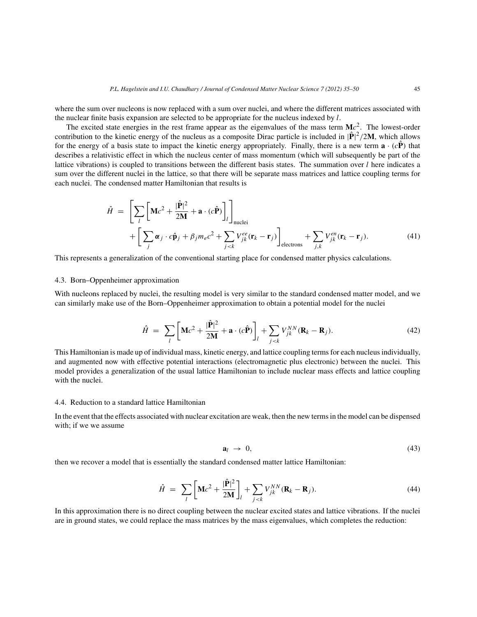where the sum over nucleons is now replaced with a sum over nuclei, and where the different matrices associated with the nuclear finite basis expansion are selected to be appropriate for the nucleus indexed by  $l$ .

The excited state energies in the rest frame appear as the eigenvalues of the mass term  $\mathbf{M}c^2$ . The lowest-order contribution to the kinetic energy of the nucleus as a composite Dirac particle is included in  $|\hat{P}|^2/2M$ , which allows for the energy of a basis state to impact the kinetic energy appropriately. Finally, there is a new term  $\mathbf{a} \cdot (c\hat{\mathbf{P}})$  that describes a relativistic effect in which the nucleus center of mass momentum (which will subsequently be part of the lattice vibrations) is coupled to transitions between the different basis states. The summation over  $l$  here indicates a sum over the different nuclei in the lattice, so that there will be separate mass matrices and lattice coupling terms for each nuclei. The condensed matter Hamiltonian that results is

$$
\hat{H} = \left[ \sum_{l} \left[ \mathbf{M}c^{2} + \frac{|\hat{\mathbf{P}}|^{2}}{2\mathbf{M}} + \mathbf{a} \cdot (c\hat{\mathbf{P}}) \right]_{l} \right]_{\text{nuclei}} + \left[ \sum_{j} \alpha_{j} \cdot c\hat{\mathbf{p}}_{j} + \beta_{j} m_{e} c^{2} + \sum_{j < k} V_{jk}^{ee} (\mathbf{r}_{k} - \mathbf{r}_{j}) \right]_{\text{electrons}} + \sum_{j,k} V_{jk}^{en} (\mathbf{r}_{k} - \mathbf{r}_{j}). \tag{41}
$$

This represents a generalization of the conventional starting place for condensed matter physics calculations.

#### 4.3. Born–Oppenheimer approximation

With nucleons replaced by nuclei, the resulting model is very similar to the standard condensed matter model, and we can similarly make use of the Born–Oppenheimer approximation to obtain a potential model for the nuclei

$$
\hat{H} = \sum_{l} \left[ \mathbf{M}c^2 + \frac{|\hat{\mathbf{P}}|^2}{2\mathbf{M}} + \mathbf{a} \cdot (c\hat{\mathbf{P}}) \right]_l + \sum_{j < k} V_{jk}^{NN} (\mathbf{R}_k - \mathbf{R}_j). \tag{42}
$$

This Hamiltonian is made up of individual mass, kinetic energy, and lattice coupling terms for each nucleus individually, and augmented now with effective potential interactions (electromagnetic plus electronic) between the nuclei. This model provides a generalization of the usual lattice Hamiltonian to include nuclear mass effects and lattice coupling with the nuclei.

#### 4.4. Reduction to a standard lattice Hamiltonian

In the event that the effects associated with nuclear excitation are weak, then the new terms in the model can be dispensed with; if we we assume

$$
\mathbf{a}_l \ \rightarrow \ 0,\tag{43}
$$

then we recover a model that is essentially the standard condensed matter lattice Hamiltonian:

$$
\hat{H} = \sum_{l} \left[ \mathbf{M}c^2 + \frac{|\hat{\mathbf{P}}|^2}{2\mathbf{M}} \right]_l + \sum_{j < k} V_{jk}^{NN} (\mathbf{R}_k - \mathbf{R}_j). \tag{44}
$$

In this approximation there is no direct coupling between the nuclear excited states and lattice vibrations. If the nuclei are in ground states, we could replace the mass matrices by the mass eigenvalues, which completes the reduction: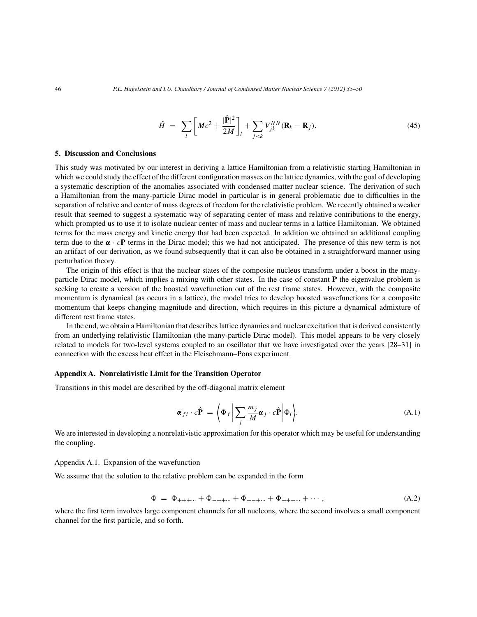$$
\hat{H} = \sum_{l} \left[ M c^2 + \frac{|\hat{\mathbf{P}}|^2}{2M} \right]_l + \sum_{j < k} V_{jk}^{NN} (\mathbf{R}_k - \mathbf{R}_j). \tag{45}
$$

#### **5. Discussion and Conclusions**

This study was motivated by our interest in deriving a lattice Hamiltonian from a relativistic starting Hamiltonian in which we could study the effect of the different configuration masses on the lattice dynamics, with the goal of developing a systematic description of the anomalies associated with condensed matter nuclear science. The derivation of such a Hamiltonian from the many-particle Dirac model in particular is in general problematic due to difficulties in the separation of relative and center of mass degrees of freedom for the relativistic problem. We recently obtained a weaker result that seemed to suggest a systematic way of separating center of mass and relative contributions to the energy, which prompted us to use it to isolate nuclear center of mass and nuclear terms in a lattice Hamiltonian. We obtained terms for the mass energy and kinetic energy that had been expected. In addition we obtained an additional coupling term due to the *α* · c**P** terms in the Dirac model; this we had not anticipated. The presence of this new term is not an artifact of our derivation, as we found subsequently that it can also be obtained in a straightforward manner using perturbation theory.

The origin of this effect is that the nuclear states of the composite nucleus transform under a boost in the manyparticle Dirac model, which implies a mixing with other states. In the case of constant **P** the eigenvalue problem is seeking to create a version of the boosted wavefunction out of the rest frame states. However, with the composite momentum is dynamical (as occurs in a lattice), the model tries to develop boosted wavefunctions for a composite momentum that keeps changing magnitude and direction, which requires in this picture a dynamical admixture of different rest frame states.

In the end, we obtain a Hamiltonian that describes lattice dynamics and nuclear excitation that is derived consistently from an underlying relativistic Hamiltonian (the many-particle Dirac model). This model appears to be very closely related to models for two-level systems coupled to an oscillator that we have investigated over the years [28–31] in connection with the excess heat effect in the Fleischmann–Pons experiment.

#### **Appendix A. Nonrelativistic Limit for the Transition Operator**

Transitions in this model are described by the off-diagonal matrix element

$$
\overline{\boldsymbol{\alpha}}_{fi} \cdot c\hat{\mathbf{P}} = \left\langle \Phi_f \middle| \sum_j \frac{m_j}{M} \boldsymbol{\alpha}_j \cdot c\hat{\mathbf{P}} \middle| \Phi_i \right\rangle. \tag{A.1}
$$

We are interested in developing a nonrelativistic approximation for this operator which may be useful for understanding the coupling.

#### Appendix A.1. Expansion of the wavefunction

We assume that the solution to the relative problem can be expanded in the form

$$
\Phi = \Phi_{+++\cdots} + \Phi_{-++\cdots} + \Phi_{+-+\cdots} + \Phi_{++-\cdots} + \cdots, \tag{A.2}
$$

where the first term involves large component channels for all nucleons, where the second involves a small component channel for the first particle, and so forth.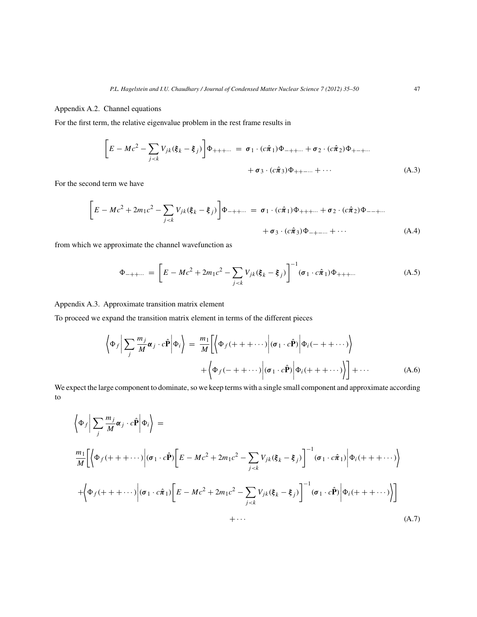#### Appendix A.2. Channel equations

For the first term, the relative eigenvalue problem in the rest frame results in

$$
\left[E - Mc^2 - \sum_{j < k} V_{jk} (\xi_k - \xi_j) \right] \Phi_{+++\cdots} = \sigma_1 \cdot (c\hat{\pi}_1) \Phi_{-++\cdots} + \sigma_2 \cdot (c\hat{\pi}_2) \Phi_{+-+\cdots} + \sigma_3 \cdot (c\hat{\pi}_3) \Phi_{++-\cdots} + \cdots \tag{A.3}
$$

For the second term we have

$$
\[E - Mc^2 + 2m_1c^2 - \sum_{j < k} V_{jk}(\xi_k - \xi_j)\] \Phi_{-++\cdots} = \sigma_1 \cdot (c\hat{\pi}_1) \Phi_{+++\cdots} + \sigma_2 \cdot (c\hat{\pi}_2) \Phi_{--+\cdots} + \sigma_3 \cdot (c\hat{\pi}_3) \Phi_{-+-\cdots} + \cdots \tag{A.4}
$$

from which we approximate the channel wavefunction as

$$
\Phi_{-++\cdots} = \left[ E - Mc^2 + 2m_1 c^2 - \sum_{j < k} V_{jk} (\xi_k - \xi_j) \right]^{-1} (\sigma_1 \cdot c \hat{\pi}_1) \Phi_{+++\cdots} \tag{A.5}
$$

Appendix A.3. Approximate transition matrix element

To proceed we expand the transition matrix element in terms of the different pieces

$$
\left\langle \Phi_f \middle| \sum_j \frac{m_j}{M} \alpha_j \cdot c \hat{\mathbf{P}} \middle| \Phi_i \right\rangle = \frac{m_1}{M} \left[ \left\langle \Phi_f (+ + \cdots) \middle| (\sigma_1 \cdot c \hat{\mathbf{P}}) \middle| \Phi_i (- + \cdots) \right\rangle \right. \\
\left. + \left\langle \Phi_f (- + \cdots) \middle| (\sigma_1 \cdot c \hat{\mathbf{P}}) \middle| \Phi_i (+ + \cdots) \right\rangle \right] + \cdots \tag{A.6}
$$

We expect the large component to dominate, so we keep terms with a single small component and approximate according to

$$
\left\langle \Phi_{f} \middle| \sum_{j} \frac{m_{j}}{M} \alpha_{j} \cdot c\hat{\mathbf{P}} \middle| \Phi_{i} \right\rangle =
$$
\n
$$
\frac{m_{1}}{M} \left[ \left\langle \Phi_{f}(+++\cdots) \middle| (\sigma_{1} \cdot c\hat{\mathbf{P}}) \left[ E - Mc^{2} + 2m_{1}c^{2} - \sum_{j\n
$$
+ \left\langle \Phi_{f}(+++\cdots) \middle| (\sigma_{1} \cdot c\hat{\pi}_{1}) \left[ E - Mc^{2} + 2m_{1}c^{2} - \sum_{j\n
$$
+ \cdots
$$
\n(A.7)
$$
$$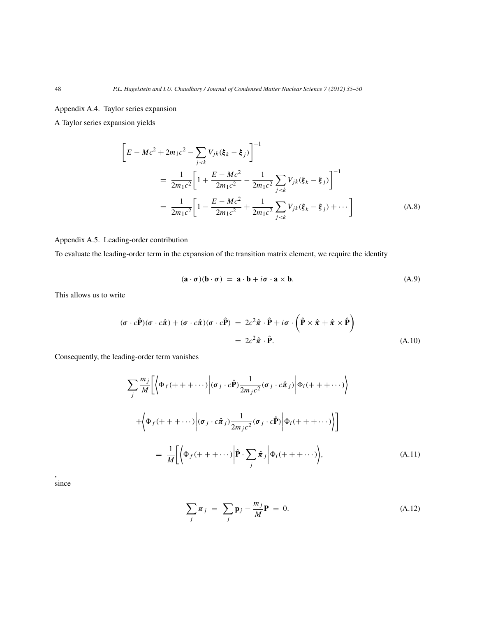Appendix A.4. Taylor series expansion

A Taylor series expansion yields

$$
\left[E - Mc^2 + 2m_1c^2 - \sum_{j < k} V_{jk}(\xi_k - \xi_j)\right]^{-1}
$$
\n
$$
= \frac{1}{2m_1c^2} \left[1 + \frac{E - Mc^2}{2m_1c^2} - \frac{1}{2m_1c^2} \sum_{j < k} V_{jk}(\xi_k - \xi_j)\right]^{-1}
$$
\n
$$
= \frac{1}{2m_1c^2} \left[1 - \frac{E - Mc^2}{2m_1c^2} + \frac{1}{2m_1c^2} \sum_{j < k} V_{jk}(\xi_k - \xi_j) + \cdots\right]
$$
\n(A.8)

#### Appendix A.5. Leading-order contribution

To evaluate the leading-order term in the expansion of the transition matrix element, we require the identity

$$
(\mathbf{a} \cdot \boldsymbol{\sigma})(\mathbf{b} \cdot \boldsymbol{\sigma}) = \mathbf{a} \cdot \mathbf{b} + i\boldsymbol{\sigma} \cdot \mathbf{a} \times \mathbf{b}.
$$
 (A.9)

This allows us to write

$$
(\boldsymbol{\sigma} \cdot c\hat{\mathbf{P}})(\boldsymbol{\sigma} \cdot c\hat{\boldsymbol{\pi}}) + (\boldsymbol{\sigma} \cdot c\hat{\boldsymbol{\pi}})(\boldsymbol{\sigma} \cdot c\hat{\mathbf{P}}) = 2c^2\hat{\boldsymbol{\pi}} \cdot \hat{\mathbf{P}} + i\boldsymbol{\sigma} \cdot (\hat{\mathbf{P}} \times \hat{\boldsymbol{\pi}} + \hat{\boldsymbol{\pi}} \times \hat{\mathbf{P}})
$$
  
=  $2c^2\hat{\boldsymbol{\pi}} \cdot \hat{\mathbf{P}}.$  (A.10)

Consequently, the leading-order term vanishes

$$
\sum_{j} \frac{m_{j}}{M} \left[ \left\langle \Phi_{f}(+++\cdots) \middle| (\sigma_{j} \cdot c\hat{\mathbf{P}}) \frac{1}{2m_{j}c^{2}} (\sigma_{j} \cdot c\hat{\pi}_{j}) \middle| \Phi_{i}(+++\cdots) \right\rangle \right]
$$

$$
+ \left\langle \Phi_{f}(+++\cdots) \middle| (\sigma_{j} \cdot c\hat{\pi}_{j}) \frac{1}{2m_{j}c^{2}} (\sigma_{j} \cdot c\hat{\mathbf{P}}) \middle| \Phi_{i}(+++\cdots) \right\rangle \right]
$$

$$
= \frac{1}{M} \left[ \left\langle \Phi_{f}(+++\cdots) \middle| \hat{\mathbf{P}} \cdot \sum_{j} \hat{\pi}_{j} \middle| \Phi_{i}(+++\cdots) \right\rangle, \tag{A.11}
$$

since

,

$$
\sum_{j} \pi_{j} = \sum_{j} \mathbf{p}_{j} - \frac{m_{j}}{M} \mathbf{P} = 0.
$$
 (A.12)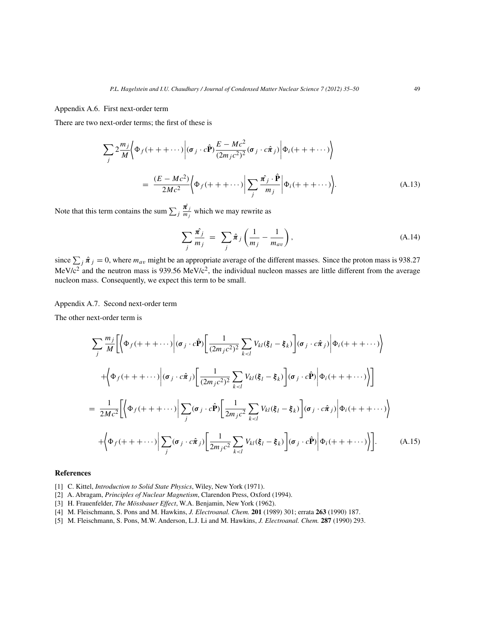Appendix A.6. First next-order term

There are two next-order terms; the first of these is

$$
\sum_{j} 2 \frac{m_j}{M} \Big\langle \Phi_f(+ + + \cdots) \Big| (\sigma_j \cdot c\hat{\mathbf{P}}) \frac{E - Mc^2}{(2m_j c^2)^2} (\sigma_j \cdot c\hat{\pi}_j) \Big| \Phi_i(+ + + \cdots) \Big\rangle
$$
  
= 
$$
\frac{(E - Mc^2)}{2Mc^2} \Big\langle \Phi_f(+ + + \cdots) \Big| \sum_{j} \frac{\hat{\pi_j} \cdot \hat{\mathbf{P}}}{m_j} \Big| \Phi_i(+ + + \cdots) \Big\rangle.
$$
 (A.13)

Note that this term contains the sum  $\sum_j \frac{\hat{\pi}_j}{m_j}$  which we may rewrite as

$$
\sum_{j} \frac{\hat{\pi_j}}{m_j} = \sum_{j} \hat{\pi}_j \left( \frac{1}{m_j} - \frac{1}{m_{av}} \right), \tag{A.14}
$$

since  $\sum_j \hat{\pi}_j = 0$ , where  $m_{av}$  might be an appropriate average of the different masses. Since the proton mass is 938.27 MeV/ $c^2$  and the neutron mass is 939.56 MeV/ $c^2$ , the individual nucleon masses are little different from the average nucleon mass. Consequently, we expect this term to be small.

Appendix A.7. Second next-order term

The other next-order term is

$$
\sum_{j} \frac{m_{j}}{M} \Big[ \Big\langle \Phi_{f}(+++\cdots) \Big| (\sigma_{j} \cdot c\hat{\mathbf{P}}) \Big[ \frac{1}{(2m_{j}c^{2})^{2}} \sum_{k  
+  $\Big\langle \Phi_{f}(+++\cdots) \Big| (\sigma_{j} \cdot c\hat{\pi}_{j}) \Big[ \frac{1}{(2m_{j}c^{2})^{2}} \sum_{k  
=  $\frac{1}{2Mc^{2}} \Big[ \Big\langle \Phi_{f}(+++\cdots) \Big| \sum_{j} (\sigma_{j} \cdot c\hat{\mathbf{P}}) \Big[ \frac{1}{2m_{j}c^{2}} \sum_{k  
+  $\Big\langle \Phi_{f}(+++\cdots) \Big| \sum_{j} (\sigma_{j} \cdot c\hat{\pi}_{j}) \Big[ \frac{1}{2m_{j}c^{2}} \sum_{k (A.15)$$$
$$

#### **References**

- [1] C. Kittel, *Introduction to Solid State Physics*, Wiley, New York (1971).
- [2] A. Abragam, *Principles of Nuclear Magnetism*, Clarendon Press, Oxford (1994).
- [3] H. Frauenfelder, *The Mössbauer Effect*, W.A. Benjamin, New York (1962).
- [4] M. Fleischmann, S. Pons and M. Hawkins, *J. Electroanal. Chem.* **201** (1989) 301; errata **263** (1990) 187.
- [5] M. Fleischmann, S. Pons, M.W. Anderson, L.J. Li and M. Hawkins, *J. Electroanal. Chem.* **287** (1990) 293.